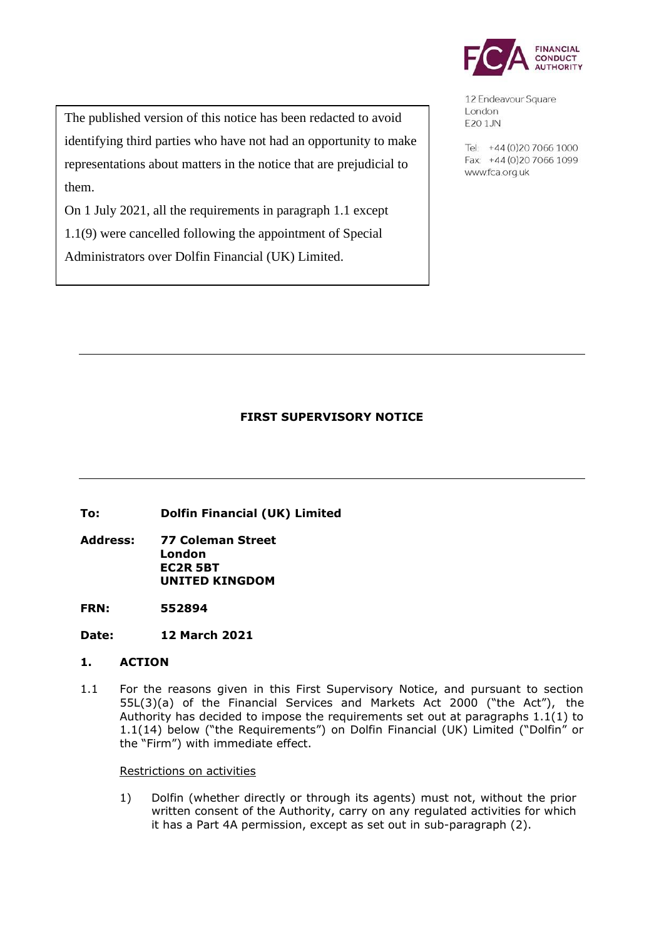

12 Endeavour Square London E20 1JN

Tel: +44 (0) 20 7066 1000 Fax: +44 (0) 20 7066 1099 www.fca.org.uk

The published version of this notice has been redacted to avoid identifying third parties who have not had an opportunity to make representations about matters in the notice that are prejudicial to them.

On 1 July 2021, all the requirements in paragraph 1.1 except 1.1(9) were cancelled following the appointment of Special Administrators over Dolfin Financial (UK) Limited.

# **FIRST SUPERVISORY NOTICE**

- **To: Dolfin Financial (UK) Limited**
- **Address: 77 Coleman Street London EC2R 5BT UNITED KINGDOM**
- **FRN: 552894**
- **Date: 12 March 2021**

## **1. ACTION**

1.1 For the reasons given in this First Supervisory Notice, and pursuant to section 55L(3)(a) of the Financial Services and Markets Act 2000 ("the Act"), the Authority has decided to impose the requirements set out at paragraphs 1.1(1) to 1.1(14) below ("the Requirements") on Dolfin Financial (UK) Limited ("Dolfin" or the "Firm") with immediate effect.

#### Restrictions on activities

1) Dolfin (whether directly or through its agents) must not, without the prior written consent of the Authority, carry on any regulated activities for which it has a Part 4A permission, except as set out in sub-paragraph (2).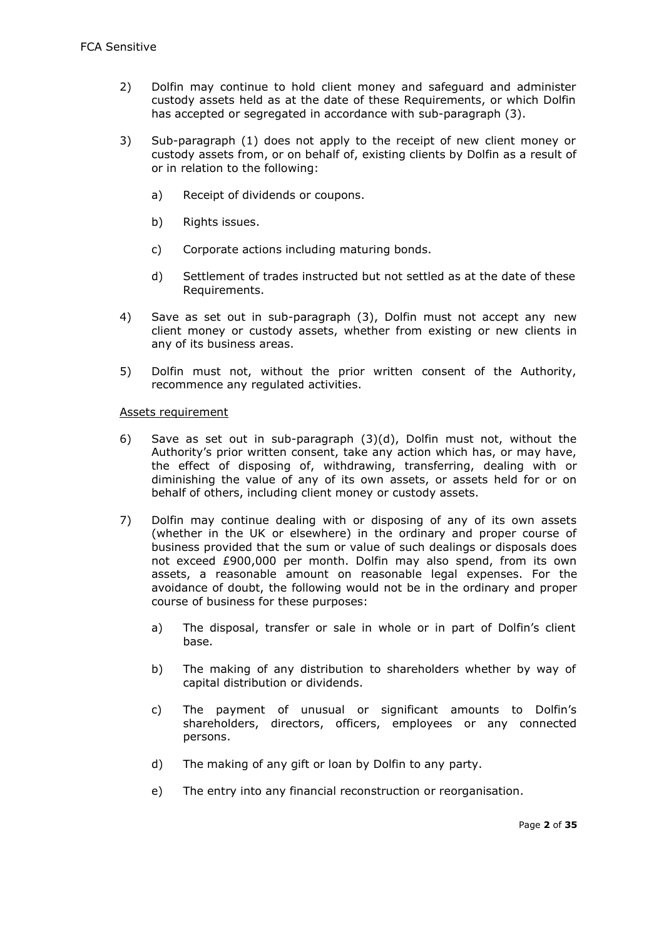- 2) Dolfin may continue to hold client money and safeguard and administer custody assets held as at the date of these Requirements, or which Dolfin has accepted or segregated in accordance with sub-paragraph (3).
- 3) Sub-paragraph (1) does not apply to the receipt of new client money or custody assets from, or on behalf of, existing clients by Dolfin as a result of or in relation to the following:
	- a) Receipt of dividends or coupons.
	- b) Rights issues.
	- c) Corporate actions including maturing bonds.
	- d) Settlement of trades instructed but not settled as at the date of these Requirements.
- 4) Save as set out in sub-paragraph (3), Dolfin must not accept any new client money or custody assets, whether from existing or new clients in any of its business areas.
- 5) Dolfin must not, without the prior written consent of the Authority, recommence any regulated activities.

#### Assets requirement

- 6) Save as set out in sub-paragraph (3)(d), Dolfin must not, without the Authority's prior written consent, take any action which has, or may have, the effect of disposing of, withdrawing, transferring, dealing with or diminishing the value of any of its own assets, or assets held for or on behalf of others, including client money or custody assets.
- 7) Dolfin may continue dealing with or disposing of any of its own assets (whether in the UK or elsewhere) in the ordinary and proper course of business provided that the sum or value of such dealings or disposals does not exceed £900,000 per month. Dolfin may also spend, from its own assets, a reasonable amount on reasonable legal expenses. For the avoidance of doubt, the following would not be in the ordinary and proper course of business for these purposes:
	- a) The disposal, transfer or sale in whole or in part of Dolfin's client base.
	- b) The making of any distribution to shareholders whether by way of capital distribution or dividends.
	- c) The payment of unusual or significant amounts to Dolfin's shareholders, directors, officers, employees or any connected persons.
	- d) The making of any gift or loan by Dolfin to any party.
	- e) The entry into any financial reconstruction or reorganisation.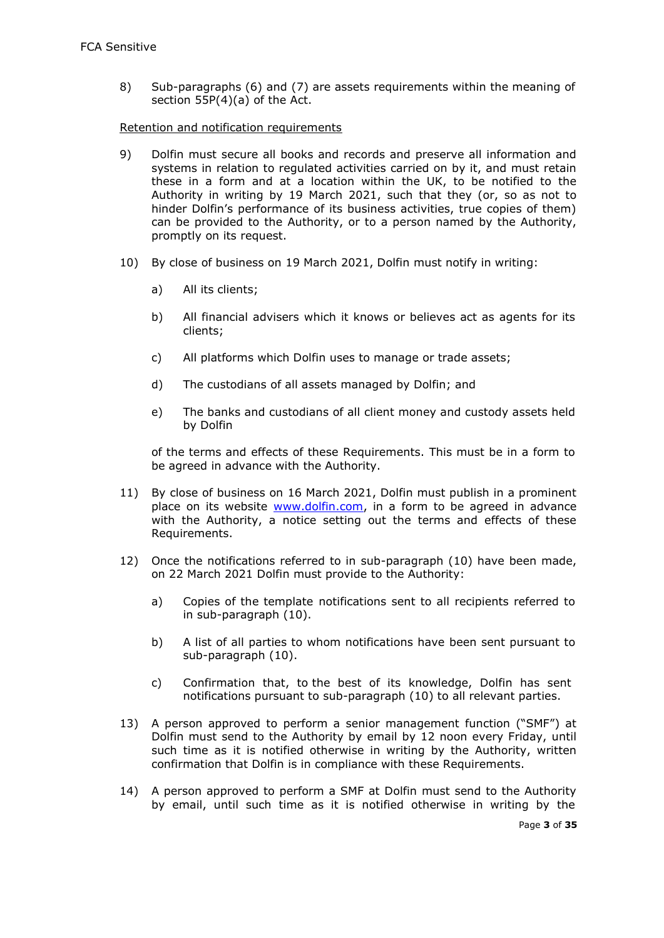8) Sub-paragraphs (6) and (7) are assets requirements within the meaning of section 55P(4)(a) of the Act.

#### Retention and notification requirements

- 9) Dolfin must secure all books and records and preserve all information and systems in relation to regulated activities carried on by it, and must retain these in a form and at a location within the UK, to be notified to the Authority in writing by 19 March 2021, such that they (or, so as not to hinder Dolfin's performance of its business activities, true copies of them) can be provided to the Authority, or to a person named by the Authority, promptly on its request.
- 10) By close of business on 19 March 2021, Dolfin must notify in writing:
	- a) All its clients;
	- b) All financial advisers which it knows or believes act as agents for its clients;
	- c) All platforms which Dolfin uses to manage or trade assets;
	- d) The custodians of all assets managed by Dolfin; and
	- e) The banks and custodians of all client money and custody assets held by Dolfin

of the terms and effects of these Requirements. This must be in a form to be agreed in advance with the Authority.

- 11) By close of business on 16 March 2021, Dolfin must publish in a prominent place on its website [www.dolfin.com,](http://www.dolfin.com/) in a form to be agreed in advance with the Authority, a notice setting out the terms and effects of these Requirements.
- 12) Once the notifications referred to in sub-paragraph (10) have been made, on 22 March 2021 Dolfin must provide to the Authority:
	- a) Copies of the template notifications sent to all recipients referred to in sub-paragraph (10).
	- b) A list of all parties to whom notifications have been sent pursuant to sub-paragraph (10).
	- c) Confirmation that, to the best of its knowledge, Dolfin has sent notifications pursuant to sub-paragraph (10) to all relevant parties.
- 13) A person approved to perform a senior management function ("SMF") at Dolfin must send to the Authority by email by 12 noon every Friday, until such time as it is notified otherwise in writing by the Authority, written confirmation that Dolfin is in compliance with these Requirements.
- 14) A person approved to perform a SMF at Dolfin must send to the Authority by email, until such time as it is notified otherwise in writing by the

Page **3** of **35**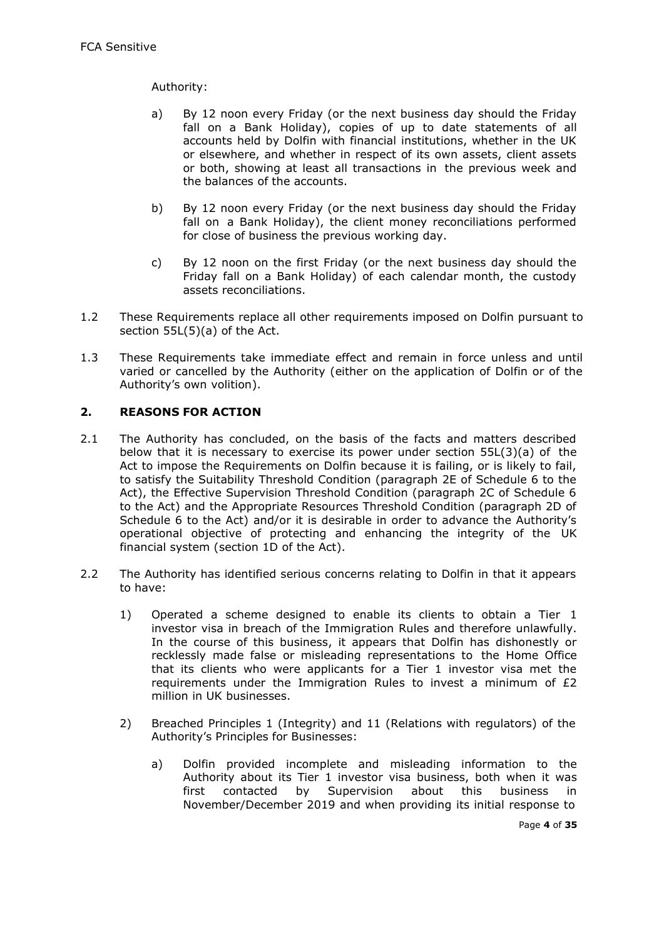Authority:

- a) By 12 noon every Friday (or the next business day should the Friday fall on a Bank Holiday), copies of up to date statements of all accounts held by Dolfin with financial institutions, whether in the UK or elsewhere, and whether in respect of its own assets, client assets or both, showing at least all transactions in the previous week and the balances of the accounts.
- b) By 12 noon every Friday (or the next business day should the Friday fall on a Bank Holiday), the client money reconciliations performed for close of business the previous working day.
- c) By 12 noon on the first Friday (or the next business day should the Friday fall on a Bank Holiday) of each calendar month, the custody assets reconciliations.
- 1.2 These Requirements replace all other requirements imposed on Dolfin pursuant to section 55L(5)(a) of the Act.
- 1.3 These Requirements take immediate effect and remain in force unless and until varied or cancelled by the Authority (either on the application of Dolfin or of the Authority's own volition).

## **2. REASONS FOR ACTION**

- 2.1 The Authority has concluded, on the basis of the facts and matters described below that it is necessary to exercise its power under section 55L(3)(a) of the Act to impose the Requirements on Dolfin because it is failing, or is likely to fail, to satisfy the Suitability Threshold Condition (paragraph 2E of Schedule 6 to the Act), the Effective Supervision Threshold Condition (paragraph 2C of Schedule 6 to the Act) and the Appropriate Resources Threshold Condition (paragraph 2D of Schedule 6 to the Act) and/or it is desirable in order to advance the Authority's operational objective of protecting and enhancing the integrity of the UK financial system (section 1D of the Act).
- 2.2 The Authority has identified serious concerns relating to Dolfin in that it appears to have:
	- 1) Operated a scheme designed to enable its clients to obtain a Tier 1 investor visa in breach of the Immigration Rules and therefore unlawfully. In the course of this business, it appears that Dolfin has dishonestly or recklessly made false or misleading representations to the Home Office that its clients who were applicants for a Tier 1 investor visa met the requirements under the Immigration Rules to invest a minimum of £2 million in UK businesses.
	- 2) Breached Principles 1 (Integrity) and 11 (Relations with regulators) of the Authority's Principles for Businesses:
		- a) Dolfin provided incomplete and misleading information to the Authority about its Tier 1 investor visa business, both when it was first contacted by Supervision about this business in November/December 2019 and when providing its initial response to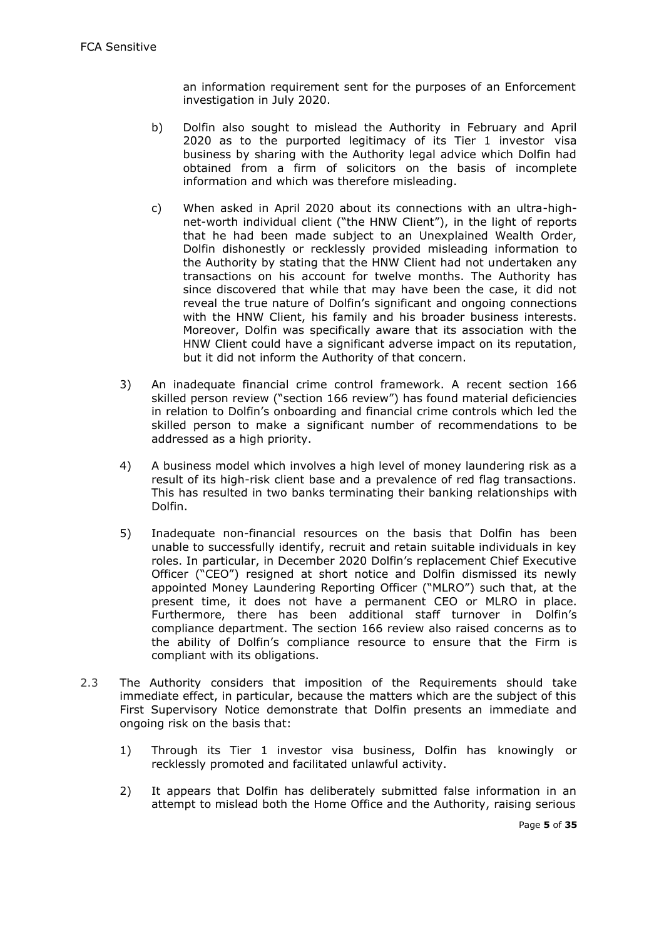an information requirement sent for the purposes of an Enforcement investigation in July 2020.

- b) Dolfin also sought to mislead the Authority in February and April 2020 as to the purported legitimacy of its Tier 1 investor visa business by sharing with the Authority legal advice which Dolfin had obtained from a firm of solicitors on the basis of incomplete information and which was therefore misleading.
- c) When asked in April 2020 about its connections with an ultra-highnet-worth individual client ("the HNW Client"), in the light of reports that he had been made subject to an Unexplained Wealth Order, Dolfin dishonestly or recklessly provided misleading information to the Authority by stating that the HNW Client had not undertaken any transactions on his account for twelve months. The Authority has since discovered that while that may have been the case, it did not reveal the true nature of Dolfin's significant and ongoing connections with the HNW Client, his family and his broader business interests. Moreover, Dolfin was specifically aware that its association with the HNW Client could have a significant adverse impact on its reputation, but it did not inform the Authority of that concern.
- 3) An inadequate financial crime control framework. A recent section 166 skilled person review ("section 166 review") has found material deficiencies in relation to Dolfin's onboarding and financial crime controls which led the skilled person to make a significant number of recommendations to be addressed as a high priority.
- 4) A business model which involves a high level of money laundering risk as a result of its high-risk client base and a prevalence of red flag transactions. This has resulted in two banks terminating their banking relationships with Dolfin.
- 5) Inadequate non-financial resources on the basis that Dolfin has been unable to successfully identify, recruit and retain suitable individuals in key roles. In particular, in December 2020 Dolfin's replacement Chief Executive Officer ("CEO") resigned at short notice and Dolfin dismissed its newly appointed Money Laundering Reporting Officer ("MLRO") such that, at the present time, it does not have a permanent CEO or MLRO in place. Furthermore, there has been additional staff turnover in Dolfin's compliance department. The section 166 review also raised concerns as to the ability of Dolfin's compliance resource to ensure that the Firm is compliant with its obligations.
- 2.3 The Authority considers that imposition of the Requirements should take immediate effect, in particular, because the matters which are the subject of this First Supervisory Notice demonstrate that Dolfin presents an immediate and ongoing risk on the basis that:
	- 1) Through its Tier 1 investor visa business, Dolfin has knowingly or recklessly promoted and facilitated unlawful activity.
	- 2) It appears that Dolfin has deliberately submitted false information in an attempt to mislead both the Home Office and the Authority, raising serious

Page **5** of **35**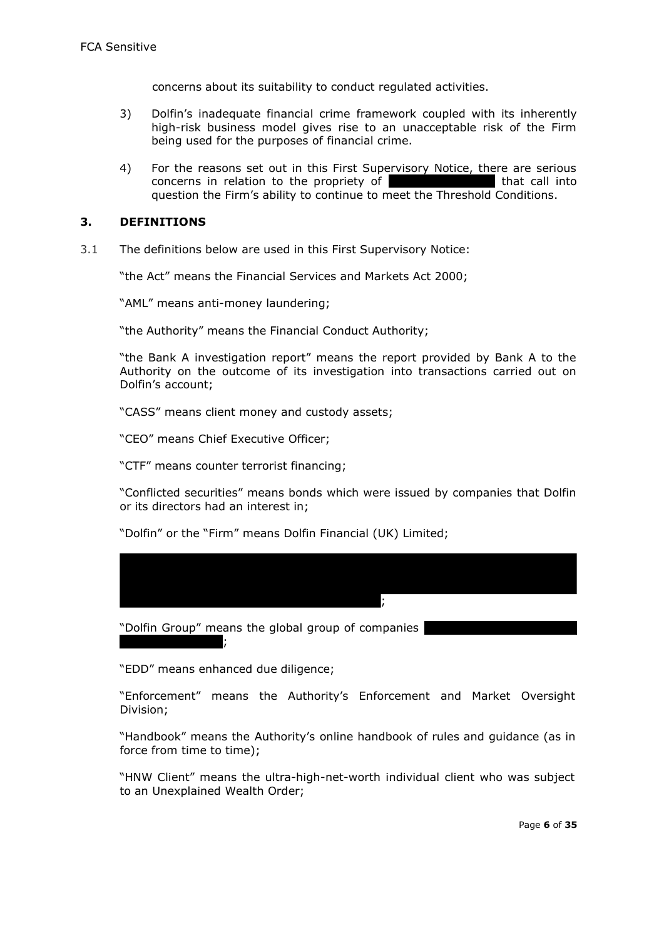concerns about its suitability to conduct [regulated](https://www.handbook.fca.org.uk/handbook/glossary/G974.html) activities.

- 3) Dolfin's inadequate financial crime framework coupled with its inherently high-risk business model gives rise to an unacceptable risk of the Firm being used for the purposes of financial crime.
- 4) For the reasons set out in this First Supervisory Notice, there are serious concerns in relation to the propriety of that call into question the [Firm's](https://www.handbook.fca.org.uk/handbook/glossary/G430.html) ability to continue to meet the Threshold [Conditions.](https://www.handbook.fca.org.uk/handbook/glossary/G1173.html)

### **3. DEFINITIONS**

3.1 The definitions below are used in this First Supervisory Notice:

"the Act" means the Financial Services and Markets Act 2000;

"AML" means anti-money laundering;

"the Authority" means the Financial Conduct Authority;

"the Bank A investigation report" means the report provided by Bank A to the Authority on the outcome of its investigation into transactions carried out on Dolfin's account;

"CASS" means client money and custody assets;

"CEO" means Chief Executive Officer;

"CTF" means counter terrorist financing;

"Conflicted securities" means bonds which were issued by companies that Dolfin or its directors had an interest in;

"Dolfin" or the "Firm" means Dolfin Financial (UK) Limited;



"Dolfin Group" means the global group of companies

"EDD" means enhanced due diligence;

;

"Enforcement" means the Authority's Enforcement and Market Oversight Division;

"Handbook" means the Authority's online handbook of rules and guidance (as in force from time to time);

"HNW Client" means the ultra-high-net-worth individual client who was subject to an Unexplained Wealth Order;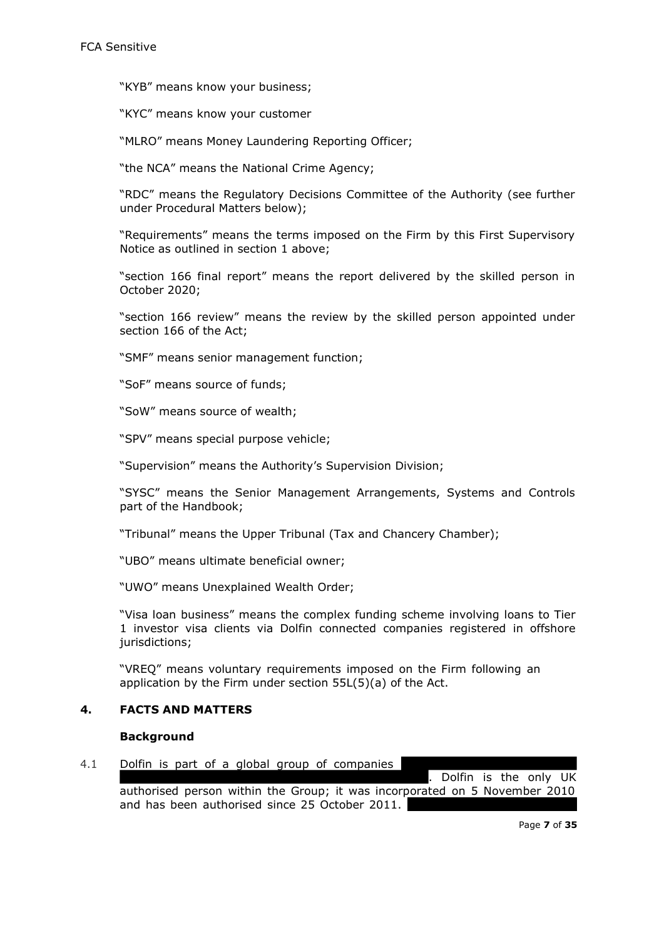"KYB" means know your business;

"KYC" means know your customer

"MLRO" means Money Laundering Reporting Officer;

"the NCA" means the National Crime Agency;

"RDC" means the Regulatory Decisions Committee of the Authority (see further under Procedural Matters below);

"Requirements" means the terms imposed on the Firm by this First Supervisory Notice as outlined in section 1 above;

"section 166 final report" means the report delivered by the skilled person in October 2020;

"section 166 review" means the review by the skilled person appointed under section 166 of the Act;

"SMF" means senior management function;

"SoF" means source of funds;

"SoW" means source of wealth;

"SPV" means special purpose vehicle;

"Supervision" means the Authority's Supervision Division;

"SYSC" means the Senior Management Arrangements, Systems and Controls part of the Handbook;

"Tribunal" means the Upper Tribunal (Tax and Chancery Chamber);

"UBO" means ultimate beneficial owner;

"UWO" means Unexplained Wealth Order;

"Visa loan business" means the complex funding scheme involving loans to Tier 1 investor visa clients via Dolfin connected companies registered in offshore jurisdictions;

"VREQ" means voluntary requirements imposed on the Firm following an application by the Firm under section 55L(5)(a) of the Act.

#### **4. FACTS AND MATTERS**

#### **Background**

| 4.1 | Dolfin is part of a global group of companies                              |  |  |  |  |  |                       |  |  |
|-----|----------------------------------------------------------------------------|--|--|--|--|--|-----------------------|--|--|
|     |                                                                            |  |  |  |  |  | Dolfin is the only UK |  |  |
|     | authorised person within the Group; it was incorporated on 5 November 2010 |  |  |  |  |  |                       |  |  |
|     | and has been authorised since 25 October 2011.                             |  |  |  |  |  |                       |  |  |

Page **7** of **35**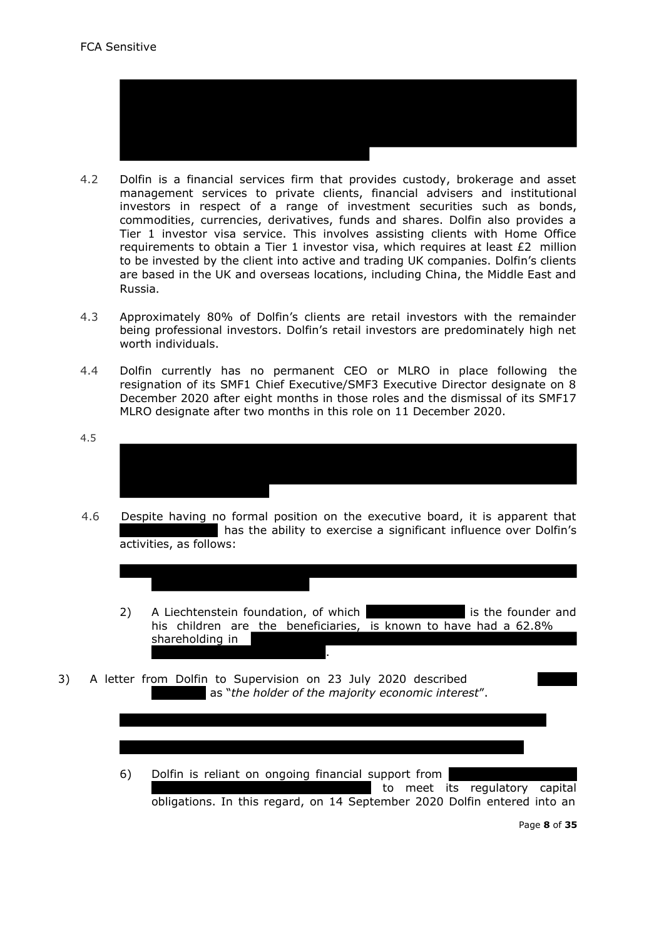

- 4.2 Dolfin is a financial services firm that provides custody, brokerage and asset management services to private clients, financial advisers and institutional investors in respect of a range of investment securities such as bonds, commodities, currencies, derivatives, funds and shares. Dolfin also provides a Tier 1 investor visa service. This involves assisting clients with Home Office requirements to obtain a Tier 1 investor visa, which requires at least  $£2$  million to be invested by the client into active and trading UK companies. Dolfin's clients are based in the UK and overseas locations, including China, the Middle East and Russia.
- 4.3 Approximately 80% of Dolfin's clients are retail investors with the remainder being professional investors. Dolfin's retail investors are predominately high net worth individuals.
- 4.4 Dolfin currently has no permanent CEO or MLRO in place following the resignation of its SMF1 Chief Executive/SMF3 Executive Director designate on 8 December 2020 after eight months in those roles and the dismissal of its SMF17 MLRO designate after two months in this role on 11 December 2020.
- 4.5
- 4.6 Despite having no formal position on the executive board, it is apparent that has the ability to exercise a significant influence over Dolfin's activities, as follows:
	- 2) A Liechtenstein foundation, of which his children are the beneficiaries, is known to have had a 62.8% shareholding in is the founder and .
- 3) A letter from Dolfin to Supervision on 23 July 2020 described as "*the holder of the majority economic interest*".
	- 6) Dolfin is reliant on ongoing financial support from to meet its regulatory capital obligations. In this regard, on 14 September 2020 Dolfin entered into an

Page **8** of **35**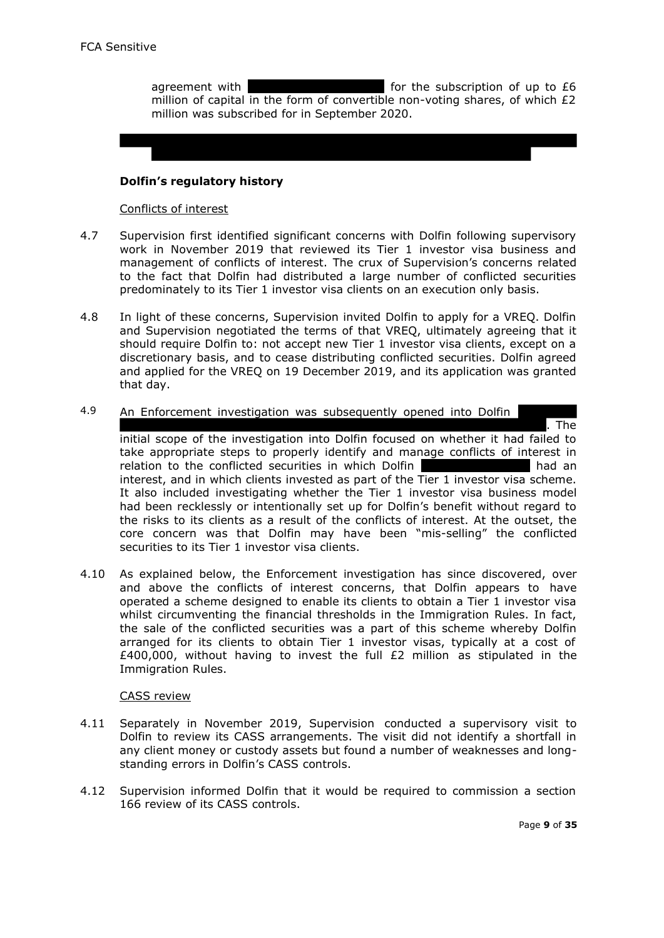agreement with **for the subscription of up to £6** million of capital in the form of convertible non-voting shares, of which £2 million was subscribed for in September 2020.

#### **Dolfin's regulatory history**

#### Conflicts of interest

- 4.7 Supervision first identified significant concerns with Dolfin following supervisory work in November 2019 that reviewed its Tier 1 investor visa business and management of conflicts of interest. The crux of Supervision's concerns related to the fact that Dolfin had distributed a large number of conflicted securities predominately to its Tier 1 investor visa clients on an execution only basis.
- 4.8 In light of these concerns, Supervision invited Dolfin to apply for a VREQ. Dolfin and Supervision negotiated the terms of that VREQ, ultimately agreeing that it should require Dolfin to: not accept new Tier 1 investor visa clients, except on a discretionary basis, and to cease distributing conflicted securities. Dolfin agreed and applied for the VREQ on 19 December 2019, and its application was granted that day.

## 4.9 An Enforcement investigation was subsequently opened into Dolfin

. The

initial scope of the investigation into Dolfin focused on whether it had failed to take appropriate steps to properly identify and manage conflicts of interest in relation to the conflicted securities in which Dolfin interest, and in which clients invested as part of the Tier 1 investor visa scheme. It also included investigating whether the Tier 1 investor visa business model had been recklessly or intentionally set up for Dolfin's benefit without regard to the risks to its clients as a result of the conflicts of interest. At the outset, the core concern was that Dolfin may have been "mis-selling" the conflicted securities to its Tier 1 investor visa clients.

4.10 As explained below, the Enforcement investigation has since discovered, over and above the conflicts of interest concerns, that Dolfin appears to have operated a scheme designed to enable its clients to obtain a Tier 1 investor visa whilst circumventing the financial thresholds in the Immigration Rules. In fact, the sale of the conflicted securities was a part of this scheme whereby Dolfin arranged for its clients to obtain Tier 1 investor visas, typically at a cost of £400,000, without having to invest the full £2 million as stipulated in the Immigration Rules.

#### CASS review

- 4.11 Separately in November 2019, Supervision conducted a supervisory visit to Dolfin to review its CASS arrangements. The visit did not identify a shortfall in any client money or custody assets but found a number of weaknesses and longstanding errors in Dolfin's CASS controls.
- 4.12 Supervision informed Dolfin that it would be required to commission a section 166 review of its CASS controls.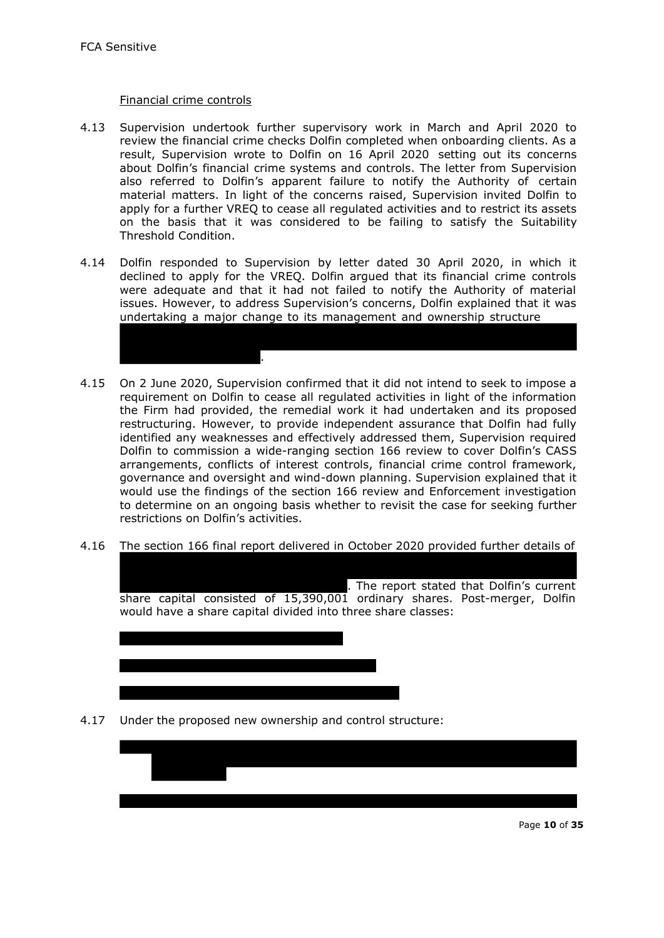### Financial crime controls

- 4.13 Supervision undertook further supervisory work in March and April 2020 to review the financial crime checks Dolfin completed when onboarding clients. As a result, Supervision wrote to Dolfin on 16 April 2020 setting out its concerns about Dolfin's financial crime systems and controls. The letter from Supervision also referred to Dolfin's apparent failure to notify the Authority of certain material matters. In light of the concerns raised, Supervision invited Dolfin to apply for a further VREQ to cease all regulated activities and to restrict its assets on the basis that it was considered to be failing to satisfy the Suitability Threshold Condition.
- 4.14 Dolfin responded to Supervision by letter dated 30 April 2020, in which it declined to apply for the VREQ. Dolfin argued that its financial crime controls were adequate and that it had not failed to notify the Authority of material issues. However, to address Supervision's concerns, Dolfin explained that it was undertaking a major change to its management and ownership structure
- 4.15 On 2 June 2020, Supervision confirmed that it did not intend to seek to impose a requirement on Dolfin to cease all regulated activities in light of the information the Firm had provided, the remedial work it had undertaken and its proposed restructuring. However, to provide independent assurance that Dolfin had fully identified any weaknesses and effectively addressed them, Supervision required Dolfin to commission a wide-ranging section 166 review to cover Dolfin's CASS arrangements, conflicts of interest controls, financial crime control framework, governance and oversight and wind-down planning. Supervision explained that it would use the findings of the section 166 review and Enforcement investigation to determine on an ongoing basis whether to revisit the case for seeking further restrictions on Dolfin's activities.
- 4.16 The section 166 final report delivered in October 2020 provided further details of

share capital consisted of 15,390,001 ordinary shares. Post-merger, Dolfin would have a share capital divided into three share classes: . The report stated that Dolfin's current



.

4.17 Under the proposed new ownership and control structure:



Page **10** of **35**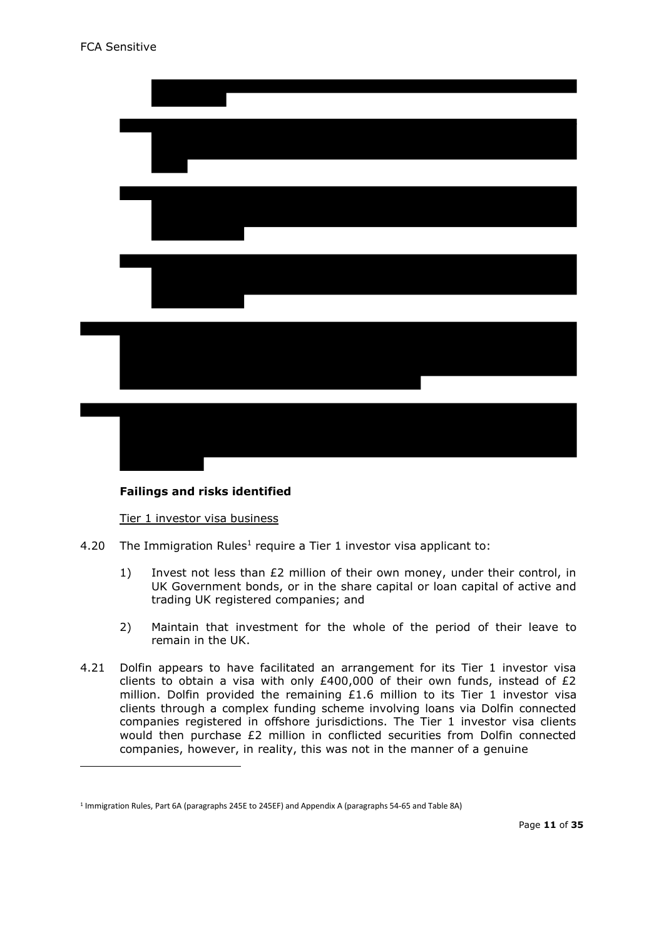

#### **Failings and risks identified**

Tier 1 investor visa business

- 4.20 The Immigration Rules<sup>1</sup> require a Tier 1 investor visa applicant to:
	- 1) Invest not less than £2 million of their own money, under their control, in UK Government bonds, or in the share capital or loan capital of active and trading UK registered companies; and
	- 2) Maintain that investment for the whole of the period of their leave to remain in the UK.
- 4.21 Dolfin appears to have facilitated an arrangement for its Tier 1 investor visa clients to obtain a visa with only £400,000 of their own funds, instead of £2 million. Dolfin provided the remaining £1.6 million to its Tier 1 investor visa clients through a complex funding scheme involving loans via Dolfin connected companies registered in offshore jurisdictions. The Tier 1 investor visa clients would then purchase £2 million in conflicted securities from Dolfin connected companies, however, in reality, this was not in the manner of a genuine

<sup>&</sup>lt;sup>1</sup> Immigration Rules, Part 6A (paragraphs 245E to 245EF) and Appendix A (paragraphs 54-65 and Table 8A)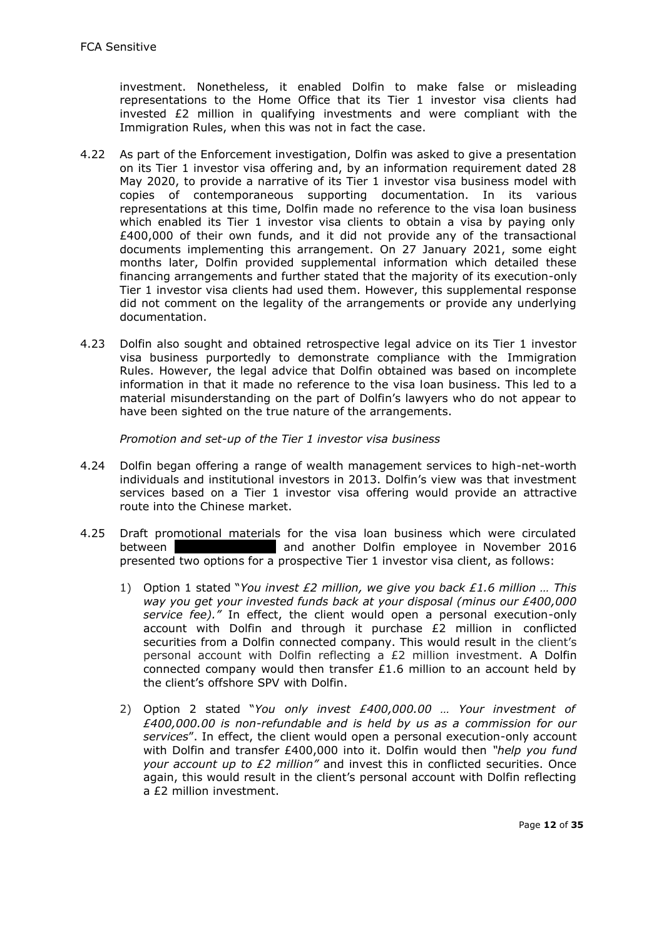investment. Nonetheless, it enabled Dolfin to make false or misleading representations to the Home Office that its Tier 1 investor visa clients had invested £2 million in qualifying investments and were compliant with the Immigration Rules, when this was not in fact the case.

- 4.22 As part of the Enforcement investigation, Dolfin was asked to give a presentation on its Tier 1 investor visa offering and, by an information requirement dated 28 May 2020, to provide a narrative of its Tier 1 investor visa business model with copies of contemporaneous supporting documentation. In its various representations at this time, Dolfin made no reference to the visa loan business which enabled its Tier 1 investor visa clients to obtain a visa by paying only £400,000 of their own funds, and it did not provide any of the transactional documents implementing this arrangement. On 27 January 2021, some eight months later, Dolfin provided supplemental information which detailed these financing arrangements and further stated that the majority of its execution-only Tier 1 investor visa clients had used them. However, this supplemental response did not comment on the legality of the arrangements or provide any underlying documentation.
- 4.23 Dolfin also sought and obtained retrospective legal advice on its Tier 1 investor visa business purportedly to demonstrate compliance with the Immigration Rules. However, the legal advice that Dolfin obtained was based on incomplete information in that it made no reference to the visa loan business. This led to a material misunderstanding on the part of Dolfin's lawyers who do not appear to have been sighted on the true nature of the arrangements.

*Promotion and set-up of the Tier 1 investor visa business*

- 4.24 Dolfin began offering a range of wealth management services to high-net-worth individuals and institutional investors in 2013. Dolfin's view was that investment services based on a Tier 1 investor visa offering would provide an attractive route into the Chinese market.
- 4.25 Draft promotional materials for the visa loan business which were circulated between and another Dolfin employee in November 2016 presented two options for a prospective Tier 1 investor visa client, as follows:
	- 1) Option 1 stated "*You invest £2 million, we give you back £1.6 million … This way you get your invested funds back at your disposal (minus our £400,000 service fee)."* In effect, the client would open a personal execution-only account with Dolfin and through it purchase £2 million in conflicted securities from a Dolfin connected company. This would result in the client's personal account with Dolfin reflecting a £2 million investment. A Dolfin connected company would then transfer  $£1.6$  million to an account held by the client's offshore SPV with Dolfin.
	- 2) Option 2 stated "*You only invest £400,000.00 … Your investment of £400,000.00 is non-refundable and is held by us as a commission for our services*". In effect, the client would open a personal execution-only account with Dolfin and transfer £400,000 into it. Dolfin would then *"help you fund your account up to £2 million"* and invest this in conflicted securities. Once again, this would result in the client's personal account with Dolfin reflecting a £2 million investment.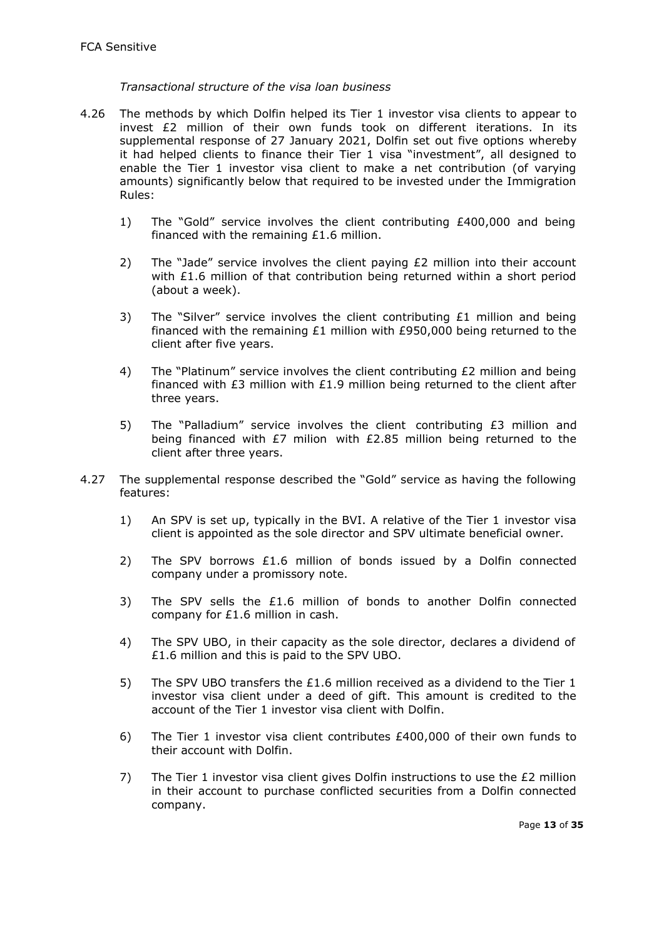### *Transactional structure of the visa loan business*

- 4.26 The methods by which Dolfin helped its Tier 1 investor visa clients to appear to invest £2 million of their own funds took on different iterations. In its supplemental response of 27 January 2021, Dolfin set out five options whereby it had helped clients to finance their Tier 1 visa "investment", all designed to enable the Tier 1 investor visa client to make a net contribution (of varying amounts) significantly below that required to be invested under the Immigration Rules:
	- 1) The "Gold" service involves the client contributing £400,000 and being financed with the remaining £1.6 million.
	- 2) The "Jade" service involves the client paying  $E2$  million into their account with £1.6 million of that contribution being returned within a short period (about a week).
	- 3) The "Silver" service involves the client contributing  $£1$  million and being financed with the remaining £1 million with £950,000 being returned to the client after five years.
	- 4) The "Platinum" service involves the client contributing £2 million and being financed with  $E3$  million with  $E1.9$  million being returned to the client after three years.
	- 5) The "Palladium" service involves the client contributing  $E3$  million and being financed with  $E7$  milion with  $E2.85$  million being returned to the client after three years.
- 4.27 The supplemental response described the "Gold" service as having the following features:
	- 1) An SPV is set up, typically in the BVI. A relative of the Tier 1 investor visa client is appointed as the sole director and SPV ultimate beneficial owner.
	- 2) The SPV borrows £1.6 million of bonds issued by a Dolfin connected company under a promissory note.
	- 3) The SPV sells the £1.6 million of bonds to another Dolfin connected company for £1.6 million in cash.
	- 4) The SPV UBO, in their capacity as the sole director, declares a dividend of £1.6 million and this is paid to the SPV UBO.
	- 5) The SPV UBO transfers the £1.6 million received as a dividend to the Tier 1 investor visa client under a deed of gift. This amount is credited to the account of the Tier 1 investor visa client with Dolfin.
	- 6) The Tier 1 investor visa client contributes £400,000 of their own funds to their account with Dolfin.
	- 7) The Tier 1 investor visa client gives Dolfin instructions to use the £2 million in their account to purchase conflicted securities from a Dolfin connected company.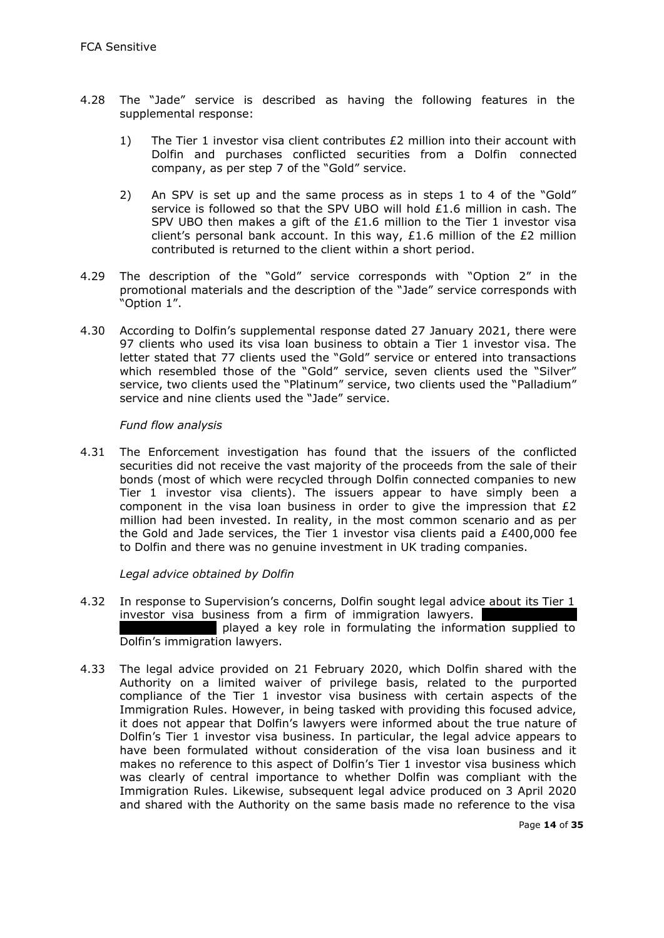- 4.28 The "Jade" service is described as having the following features in the supplemental response:
	- 1) The Tier 1 investor visa client contributes  $£2$  million into their account with Dolfin and purchases conflicted securities from a Dolfin connected company, as per step 7 of the "Gold" service.
	- 2) An SPV is set up and the same process as in steps 1 to 4 of the "Gold" service is followed so that the SPV UBO will hold £1.6 million in cash. The SPV UBO then makes a gift of the  $£1.6$  million to the Tier 1 investor visa client's personal bank account. In this way,  $£1.6$  million of the  $£2$  million contributed is returned to the client within a short period.
- 4.29 The description of the "Gold" service corresponds with "Option 2" in the promotional materials and the description of the "Jade" service corresponds with "Option 1".
- 4.30 According to Dolfin's supplemental response dated 27 January 2021, there were 97 clients who used its visa loan business to obtain a Tier 1 investor visa. The letter stated that 77 clients used the "Gold" service or entered into transactions which resembled those of the "Gold" service, seven clients used the "Silver" service, two clients used the "Platinum" service, two clients used the "Palladium" service and nine clients used the "Jade" service.

#### *Fund flow analysis*

4.31 The Enforcement investigation has found that the issuers of the conflicted securities did not receive the vast majority of the proceeds from the sale of their bonds (most of which were recycled through Dolfin connected companies to new Tier 1 investor visa clients). The issuers appear to have simply been a component in the visa loan business in order to give the impression that  $E2$ million had been invested. In reality, in the most common scenario and as per the Gold and Jade services, the Tier 1 investor visa clients paid a  $£400,000$  fee to Dolfin and there was no genuine investment in UK trading companies.

*Legal advice obtained by Dolfin*

- 4.32 In response to Supervision's concerns, Dolfin sought legal advice about its Tier 1 investor visa business from a firm of immigration lawyers. played a key role in formulating the information supplied to Dolfin's immigration lawyers.
- 4.33 The legal advice provided on 21 February 2020, which Dolfin shared with the Authority on a limited waiver of privilege basis, related to the purported compliance of the Tier 1 investor visa business with certain aspects of the Immigration Rules. However, in being tasked with providing this focused advice, it does not appear that Dolfin's lawyers were informed about the true nature of Dolfin's Tier 1 investor visa business. In particular, the legal advice appears to have been formulated without consideration of the visa loan business and it makes no reference to this aspect of Dolfin's Tier 1 investor visa business which was clearly of central importance to whether Dolfin was compliant with the Immigration Rules. Likewise, subsequent legal advice produced on 3 April 2020 and shared with the Authority on the same basis made no reference to the visa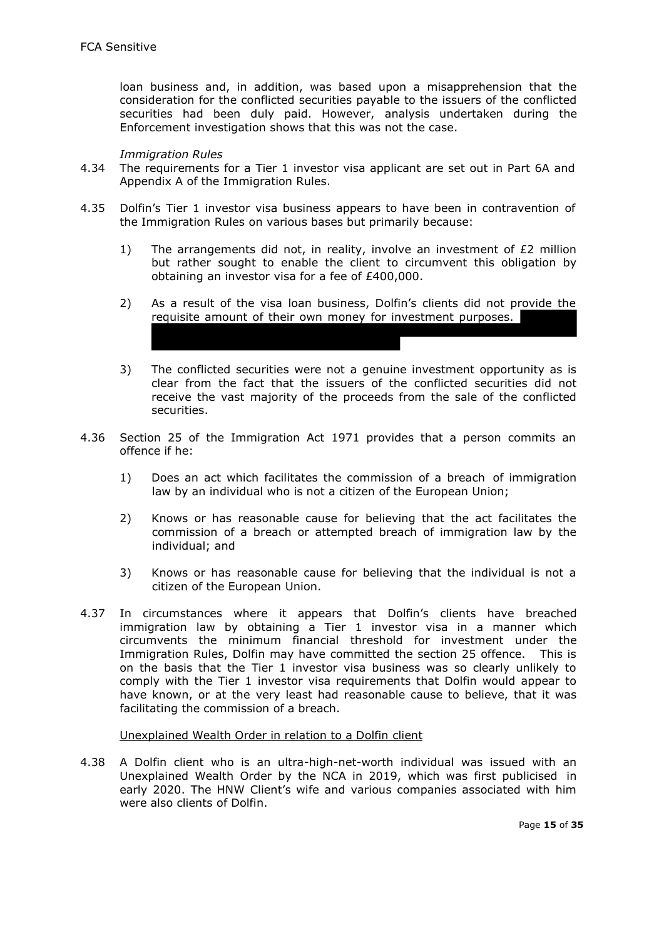loan business and, in addition, was based upon a misapprehension that the consideration for the conflicted securities payable to the issuers of the conflicted securities had been duly paid. However, analysis undertaken during the Enforcement investigation shows that this was not the case.

#### *Immigration Rules*

- 4.34 The requirements for a Tier 1 investor visa applicant are set out in Part 6A and Appendix A of the Immigration Rules.
- 4.35 Dolfin's Tier 1 investor visa business appears to have been in contravention of the Immigration Rules on various bases but primarily because:
	- 1) The arrangements did not, in reality, involve an investment of  $E2$  million but rather sought to enable the client to circumvent this obligation by obtaining an investor visa for a fee of £400,000.
	- 2) As a result of the visa loan business, Dolfin's clients did not provide the requisite amount of their own money for investment purposes.
	- 3) The conflicted securities were not a genuine investment opportunity as is clear from the fact that the issuers of the conflicted securities did not receive the vast majority of the proceeds from the sale of the conflicted securities.
- 4.36 Section 25 of the Immigration Act 1971 provides that a person commits an offence if he:
	- 1) Does an act which facilitates the commission of a breach of immigration law by an individual who is not a citizen of the European Union;
	- 2) Knows or has reasonable cause for believing that the act facilitates the commission of a breach or attempted breach of immigration law by the individual; and
	- 3) Knows or has reasonable cause for believing that the individual is not a citizen of the European Union.
- 4.37 In circumstances where it appears that Dolfin's clients have breached immigration law by obtaining a Tier 1 investor visa in a manner which circumvents the minimum financial threshold for investment under the Immigration Rules, Dolfin may have committed the section 25 offence. This is on the basis that the Tier 1 investor visa business was so clearly unlikely to comply with the Tier 1 investor visa requirements that Dolfin would appear to have known, or at the very least had reasonable cause to believe, that it was facilitating the commission of a breach.

#### Unexplained Wealth Order in relation to a Dolfin client

4.38 A Dolfin client who is an ultra-high-net-worth individual was issued with an Unexplained Wealth Order by the NCA in 2019, which was first publicised in early 2020. The HNW Client's wife and various companies associated with him were also clients of Dolfin.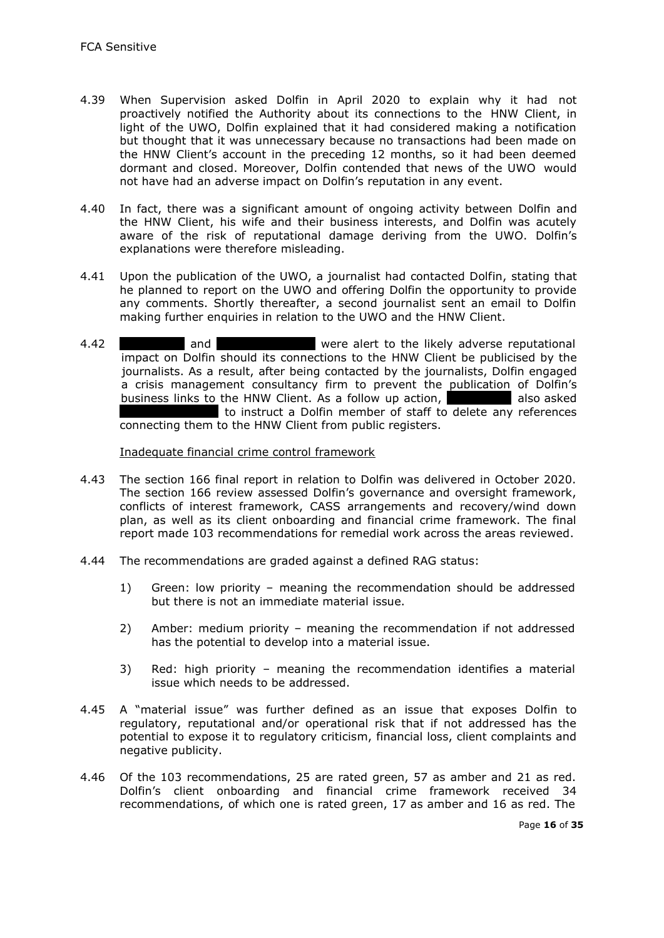- 4.39 When Supervision asked Dolfin in April 2020 to explain why it had not proactively notified the Authority about its connections to the HNW Client, in light of the UWO, Dolfin explained that it had considered making a notification but thought that it was unnecessary because no transactions had been made on the HNW Client's account in the preceding 12 months, so it had been deemed dormant and closed. Moreover, Dolfin contended that news of the UWO would not have had an adverse impact on Dolfin's reputation in any event.
- 4.40 In fact, there was a significant amount of ongoing activity between Dolfin and the HNW Client, his wife and their business interests, and Dolfin was acutely aware of the risk of reputational damage deriving from the UWO. Dolfin's explanations were therefore misleading.
- 4.41 Upon the publication of the UWO, a journalist had contacted Dolfin, stating that he planned to report on the UWO and offering Dolfin the opportunity to provide any comments. Shortly thereafter, a second journalist sent an email to Dolfin making further enquiries in relation to the UWO and the HNW Client.
- 4.42 **and** and **the likely adverse reputational** impact on Dolfin should its connections to the HNW Client be publicised by the journalists. As a result, after being contacted by the journalists, Dolfin engaged a crisis management consultancy firm to prevent the publication of Dolfin's business links to the HNW Client. As a follow up action, and also asked to instruct a Dolfin member of staff to delete any references connecting them to the HNW Client from public registers.

Inadequate financial crime control framework

- 4.43 The section 166 final report in relation to Dolfin was delivered in October 2020. The section 166 review assessed Dolfin's governance and oversight framework, conflicts of interest framework, CASS arrangements and recovery/wind down plan, as well as its client onboarding and financial crime framework. The final report made 103 recommendations for remedial work across the areas reviewed.
- 4.44 The recommendations are graded against a defined RAG status:
	- 1) Green: low priority meaning the recommendation should be addressed but there is not an immediate material issue.
	- 2) Amber: medium priority meaning the recommendation if not addressed has the potential to develop into a material issue.
	- 3) Red: high priority meaning the recommendation identifies a material issue which needs to be addressed.
- 4.45 A "material issue" was further defined as an issue that exposes Dolfin to regulatory, reputational and/or operational risk that if not addressed has the potential to expose it to regulatory criticism, financial loss, client complaints and negative publicity.
- 4.46 Of the 103 recommendations, 25 are rated green, 57 as amber and 21 as red. Dolfin's client onboarding and financial crime framework received 34 recommendations, of which one is rated green, 17 as amber and 16 as red. The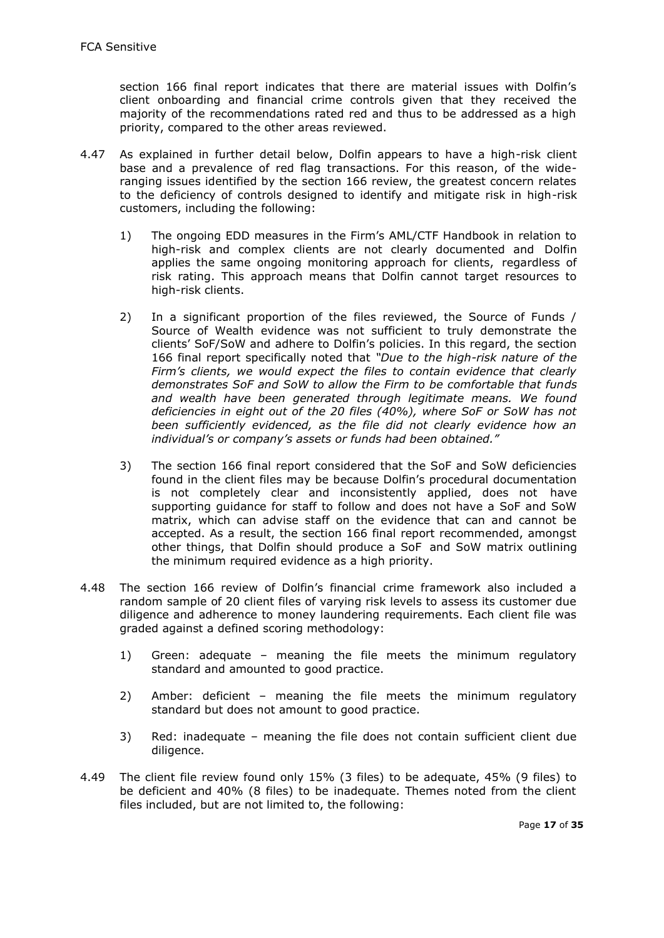section 166 final report indicates that there are material issues with Dolfin's client onboarding and financial crime controls given that they received the majority of the recommendations rated red and thus to be addressed as a high priority, compared to the other areas reviewed.

- 4.47 As explained in further detail below, Dolfin appears to have a high-risk client base and a prevalence of red flag transactions. For this reason, of the wideranging issues identified by the section 166 review, the greatest concern relates to the deficiency of controls designed to identify and mitigate risk in high-risk customers, including the following:
	- 1) The ongoing EDD measures in the Firm's AML/CTF Handbook in relation to high-risk and complex clients are not clearly documented and Dolfin applies the same ongoing monitoring approach for clients, regardless of risk rating. This approach means that Dolfin cannot target resources to high-risk clients.
	- 2) In a significant proportion of the files reviewed, the Source of Funds / Source of Wealth evidence was not sufficient to truly demonstrate the clients' SoF/SoW and adhere to Dolfin's policies. In this regard, the section 166 final report specifically noted that *"Due to the high-risk nature of the Firm's clients, we would expect the files to contain evidence that clearly demonstrates SoF and SoW to allow the Firm to be comfortable that funds and wealth have been generated through legitimate means. We found deficiencies in eight out of the 20 files (40%), where SoF or SoW has not been sufficiently evidenced, as the file did not clearly evidence how an individual's or company's assets or funds had been obtained."*
	- 3) The section 166 final report considered that the SoF and SoW deficiencies found in the client files may be because Dolfin's procedural documentation is not completely clear and inconsistently applied, does not have supporting guidance for staff to follow and does not have a SoF and SoW matrix, which can advise staff on the evidence that can and cannot be accepted. As a result, the section 166 final report recommended, amongst other things, that Dolfin should produce a SoF and SoW matrix outlining the minimum required evidence as a high priority.
- 4.48 The section 166 review of Dolfin's financial crime framework also included a random sample of 20 client files of varying risk levels to assess its customer due diligence and adherence to money laundering requirements. Each client file was graded against a defined scoring methodology:
	- 1) Green: adequate meaning the file meets the minimum regulatory standard and amounted to good practice.
	- 2) Amber: deficient meaning the file meets the minimum regulatory standard but does not amount to good practice.
	- 3) Red: inadequate meaning the file does not contain sufficient client due diligence.
- 4.49 The client file review found only 15% (3 files) to be adequate, 45% (9 files) to be deficient and 40% (8 files) to be inadequate. Themes noted from the client files included, but are not limited to, the following: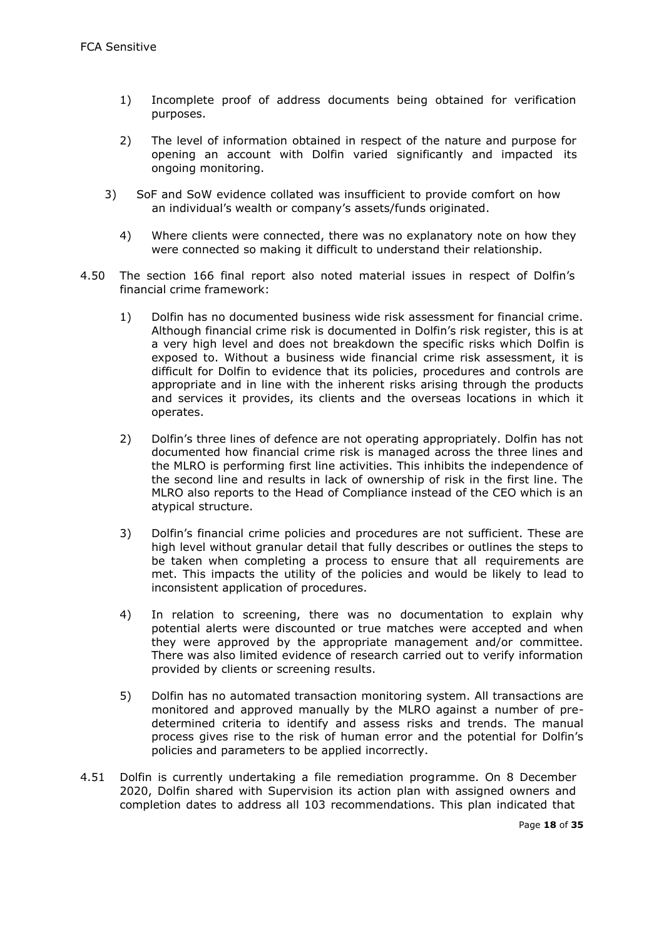- 1) Incomplete proof of address documents being obtained for verification purposes.
- 2) The level of information obtained in respect of the nature and purpose for opening an account with Dolfin varied significantly and impacted its ongoing monitoring.
- 3) SoF and SoW evidence collated was insufficient to provide comfort on how an individual's wealth or company's assets/funds originated.
	- 4) Where clients were connected, there was no explanatory note on how they were connected so making it difficult to understand their relationship.
- 4.50 The section 166 final report also noted material issues in respect of Dolfin's financial crime framework:
	- 1) Dolfin has no documented business wide risk assessment for financial crime. Although financial crime risk is documented in Dolfin's risk register, this is at a very high level and does not breakdown the specific risks which Dolfin is exposed to. Without a business wide financial crime risk assessment, it is difficult for Dolfin to evidence that its policies, procedures and controls are appropriate and in line with the inherent risks arising through the products and services it provides, its clients and the overseas locations in which it operates.
	- 2) Dolfin's three lines of defence are not operating appropriately. Dolfin has not documented how financial crime risk is managed across the three lines and the MLRO is performing first line activities. This inhibits the independence of the second line and results in lack of ownership of risk in the first line. The MLRO also reports to the Head of Compliance instead of the CEO which is an atypical structure.
	- 3) Dolfin's financial crime policies and procedures are not sufficient. These are high level without granular detail that fully describes or outlines the steps to be taken when completing a process to ensure that all requirements are met. This impacts the utility of the policies and would be likely to lead to inconsistent application of procedures.
	- 4) In relation to screening, there was no documentation to explain why potential alerts were discounted or true matches were accepted and when they were approved by the appropriate management and/or committee. There was also limited evidence of research carried out to verify information provided by clients or screening results.
	- 5) Dolfin has no automated transaction monitoring system. All transactions are monitored and approved manually by the MLRO against a number of predetermined criteria to identify and assess risks and trends. The manual process gives rise to the risk of human error and the potential for Dolfin's policies and parameters to be applied incorrectly.
- 4.51 Dolfin is currently undertaking a file remediation programme. On 8 December 2020, Dolfin shared with Supervision its action plan with assigned owners and completion dates to address all 103 recommendations. This plan indicated that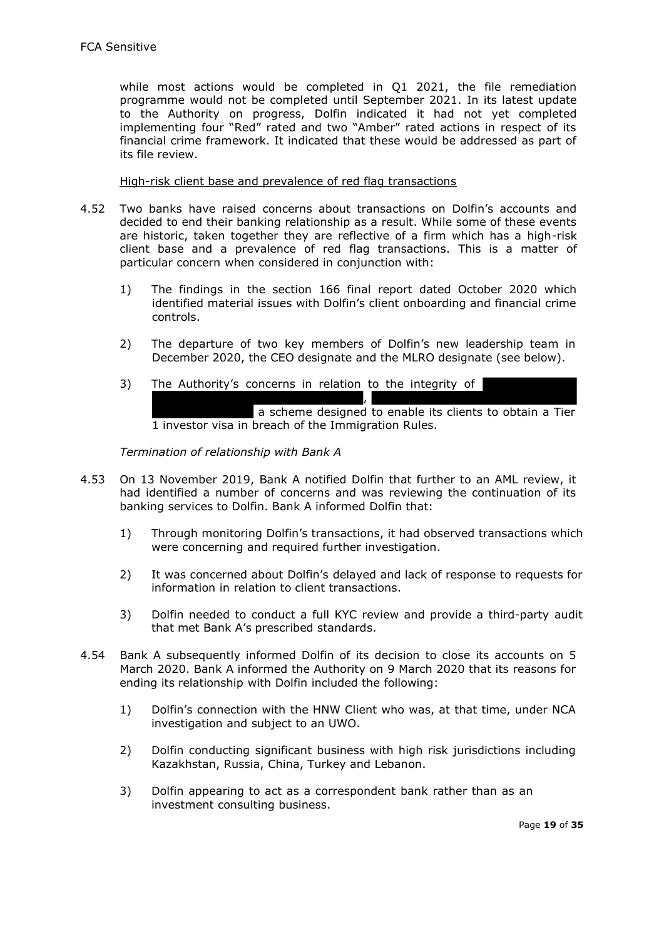while most actions would be completed in Q1 2021, the file remediation programme would not be completed until September 2021. In its latest update to the Authority on progress, Dolfin indicated it had not yet completed implementing four "Red" rated and two "Amber" rated actions in respect of its financial crime framework. It indicated that these would be addressed as part of its file review.

High-risk client base and prevalence of red flag transactions

- 4.52 Two banks have raised concerns about transactions on Dolfin's accounts and decided to end their banking relationship as a result. While some of these events are historic, taken together they are reflective of a firm which has a high-risk client base and a prevalence of red flag transactions. This is a matter of particular concern when considered in conjunction with:
	- 1) The findings in the section 166 final report dated October 2020 which identified material issues with Dolfin's client onboarding and financial crime controls.
	- 2) The departure of two key members of Dolfin's new leadership team in December 2020, the CEO designate and the MLRO designate (see below).
	- 3) The Authority's concerns in relation to the integrity of , a scheme designed to enable its clients to obtain a Tier 1 investor visa in breach of the Immigration Rules.

*Termination of relationship with Bank A*

- 4.53 On 13 November 2019, Bank A notified Dolfin that further to an AML review, it had identified a number of concerns and was reviewing the continuation of its banking services to Dolfin. Bank A informed Dolfin that:
	- 1) Through monitoring Dolfin's transactions, it had observed transactions which were concerning and required further investigation.
	- 2) It was concerned about Dolfin's delayed and lack of response to requests for information in relation to client transactions.
	- 3) Dolfin needed to conduct a full KYC review and provide a third-party audit that met Bank A's prescribed standards.
- 4.54 Bank A subsequently informed Dolfin of its decision to close its accounts on 5 March 2020. Bank A informed the Authority on 9 March 2020 that its reasons for ending its relationship with Dolfin included the following:
	- 1) Dolfin's connection with the HNW Client who was, at that time, under NCA investigation and subject to an UWO.
	- 2) Dolfin conducting significant business with high risk jurisdictions including Kazakhstan, Russia, China, Turkey and Lebanon.
	- 3) Dolfin appearing to act as a correspondent bank rather than as an investment consulting business.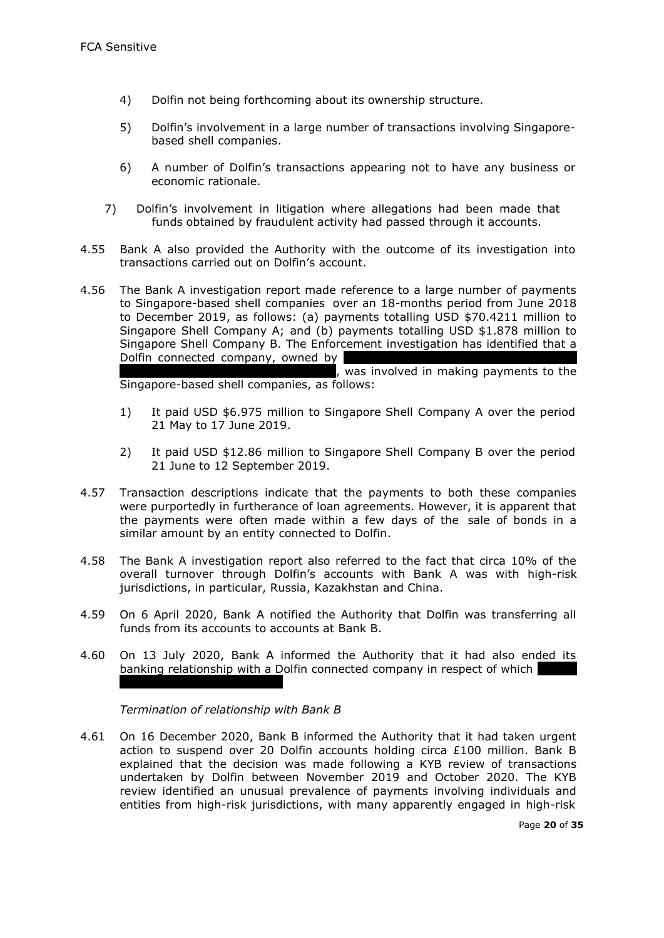- 4) Dolfin not being forthcoming about its ownership structure.
- 5) Dolfin's involvement in a large number of transactions involving Singaporebased shell companies.
- 6) A number of Dolfin's transactions appearing not to have any business or economic rationale.
- 7) Dolfin's involvement in litigation where allegations had been made that funds obtained by fraudulent activity had passed through it accounts.
- 4.55 Bank A also provided the Authority with the outcome of its investigation into transactions carried out on Dolfin's account.
- 4.56 The Bank A investigation report made reference to a large number of payments to Singapore-based shell companies over an 18-months period from June 2018 to December 2019, as follows: (a) payments totalling USD \$70.4211 million to Singapore Shell Company A; and (b) payments totalling USD \$1.878 million to Singapore Shell Company B. The Enforcement investigation has identified that a Dolfin connected company, owned by

, was involved in making payments to the Singapore-based shell companies, as follows:

- 1) It paid USD \$6.975 million to Singapore Shell Company A over the period 21 May to 17 June 2019.
- 2) It paid USD \$12.86 million to Singapore Shell Company B over the period 21 June to 12 September 2019.
- 4.57 Transaction descriptions indicate that the payments to both these companies were purportedly in furtherance of loan agreements. However, it is apparent that the payments were often made within a few days of the sale of bonds in a similar amount by an entity connected to Dolfin.
- 4.58 The Bank A investigation report also referred to the fact that circa 10% of the overall turnover through Dolfin's accounts with Bank A was with high-risk jurisdictions, in particular, Russia, Kazakhstan and China.
- 4.59 On 6 April 2020, Bank A notified the Authority that Dolfin was transferring all funds from its accounts to accounts at Bank B.
- 4.60 On 13 July 2020, Bank A informed the Authority that it had also ended its banking relationship with a Dolfin connected company in respect of which

*Termination of relationship with Bank B*

4.61 On 16 December 2020, Bank B informed the Authority that it had taken urgent action to suspend over 20 Dolfin accounts holding circa £100 million. Bank B explained that the decision was made following a KYB review of transactions undertaken by Dolfin between November 2019 and October 2020. The KYB review identified an unusual prevalence of payments involving individuals and entities from high-risk jurisdictions, with many apparently engaged in high-risk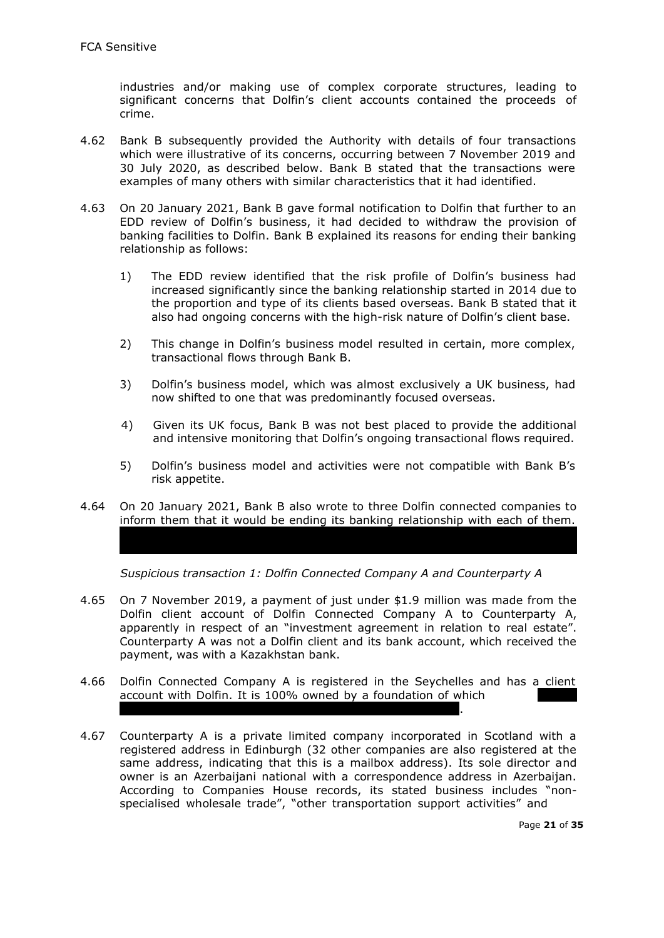industries and/or making use of complex corporate structures, leading to significant concerns that Dolfin's client accounts contained the proceeds of crime.

- 4.62 Bank B subsequently provided the Authority with details of four transactions which were illustrative of its concerns, occurring between 7 November 2019 and 30 July 2020, as described below. Bank B stated that the transactions were examples of many others with similar characteristics that it had identified.
- 4.63 On 20 January 2021, Bank B gave formal notification to Dolfin that further to an EDD review of Dolfin's business, it had decided to withdraw the provision of banking facilities to Dolfin. Bank B explained its reasons for ending their banking relationship as follows:
	- 1) The EDD review identified that the risk profile of Dolfin's business had increased significantly since the banking relationship started in 2014 due to the proportion and type of its clients based overseas. Bank B stated that it also had ongoing concerns with the high-risk nature of Dolfin's client base.
	- 2) This change in Dolfin's business model resulted in certain, more complex, transactional flows through Bank B.
	- 3) Dolfin's business model, which was almost exclusively a UK business, had now shifted to one that was predominantly focused overseas.
	- 4) Given its UK focus, Bank B was not best placed to provide the additional and intensive monitoring that Dolfin's ongoing transactional flows required.
	- 5) Dolfin's business model and activities were not compatible with Bank B's risk appetite.
- 4.64 On 20 January 2021, Bank B also wrote to three Dolfin connected companies to inform them that it would be ending its banking relationship with each of them.

*Suspicious transaction 1: Dolfin Connected Company A and Counterparty A*

- 4.65 On 7 November 2019, a payment of just under \$1.9 million was made from the Dolfin client account of Dolfin Connected Company A to Counterparty A, apparently in respect of an "investment agreement in relation to real estate". Counterparty A was not a Dolfin client and its bank account, which received the payment, was with a Kazakhstan bank.
- 4.66 Dolfin Connected Company A is registered in the Seychelles and has a client account with Dolfin. It is 100% owned by a foundation of which .
- 4.67 Counterparty A is a private limited company incorporated in Scotland with a registered address in Edinburgh (32 other companies are also registered at the same address, indicating that this is a mailbox address). Its sole director and owner is an Azerbaijani national with a correspondence address in Azerbaijan. According to Companies House records, its stated business includes "nonspecialised wholesale trade", "other transportation support activities" and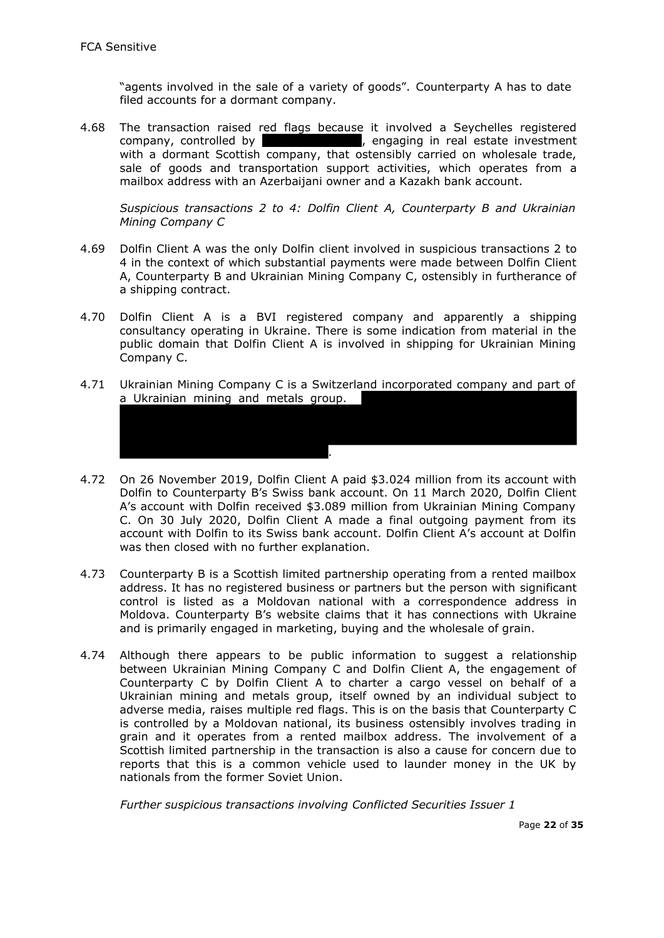"agents involved in the sale of a variety of goods". Counterparty A has to date filed accounts for a dormant company.

4.68 The transaction raised red flags because it involved a Seychelles registered company, controlled by , engaging in real estate investment with a dormant Scottish company, that ostensibly carried on wholesale trade, sale of goods and transportation support activities, which operates from a mailbox address with an Azerbaijani owner and a Kazakh bank account.

*Suspicious transactions 2 to 4: Dolfin Client A, Counterparty B and Ukrainian Mining Company C*

- 4.69 Dolfin Client A was the only Dolfin client involved in suspicious transactions 2 to 4 in the context of which substantial payments were made between Dolfin Client A, Counterparty B and Ukrainian Mining Company C, ostensibly in furtherance of a shipping contract.
- 4.70 Dolfin Client A is a BVI registered company and apparently a shipping consultancy operating in Ukraine. There is some indication from material in the public domain that Dolfin Client A is involved in shipping for Ukrainian Mining Company C.
- 4.71 Ukrainian Mining Company C is a Switzerland incorporated company and part of a Ukrainian mining and metals group.

.

- 4.72 On 26 November 2019, Dolfin Client A paid \$3.024 million from its account with Dolfin to Counterparty B's Swiss bank account. On 11 March 2020, Dolfin Client A's account with Dolfin received \$3.089 million from Ukrainian Mining Company C. On 30 July 2020, Dolfin Client A made a final outgoing payment from its account with Dolfin to its Swiss bank account. Dolfin Client A's account at Dolfin was then closed with no further explanation.
- 4.73 Counterparty B is a Scottish limited partnership operating from a rented mailbox address. It has no registered business or partners but the person with significant control is listed as a Moldovan national with a correspondence address in Moldova. Counterparty B's website claims that it has connections with Ukraine and is primarily engaged in marketing, buying and the wholesale of grain.
- 4.74 Although there appears to be public information to suggest a relationship between Ukrainian Mining Company C and Dolfin Client A, the engagement of Counterparty C by Dolfin Client A to charter a cargo vessel on behalf of a Ukrainian mining and metals group, itself owned by an individual subject to adverse media, raises multiple red flags. This is on the basis that Counterparty C is controlled by a Moldovan national, its business ostensibly involves trading in grain and it operates from a rented mailbox address. The involvement of a Scottish limited partnership in the transaction is also a cause for concern due to reports that this is a common vehicle used to launder money in the UK by nationals from the former Soviet Union.

*Further suspicious transactions involving Conflicted Securities Issuer 1*

Page **22** of **35**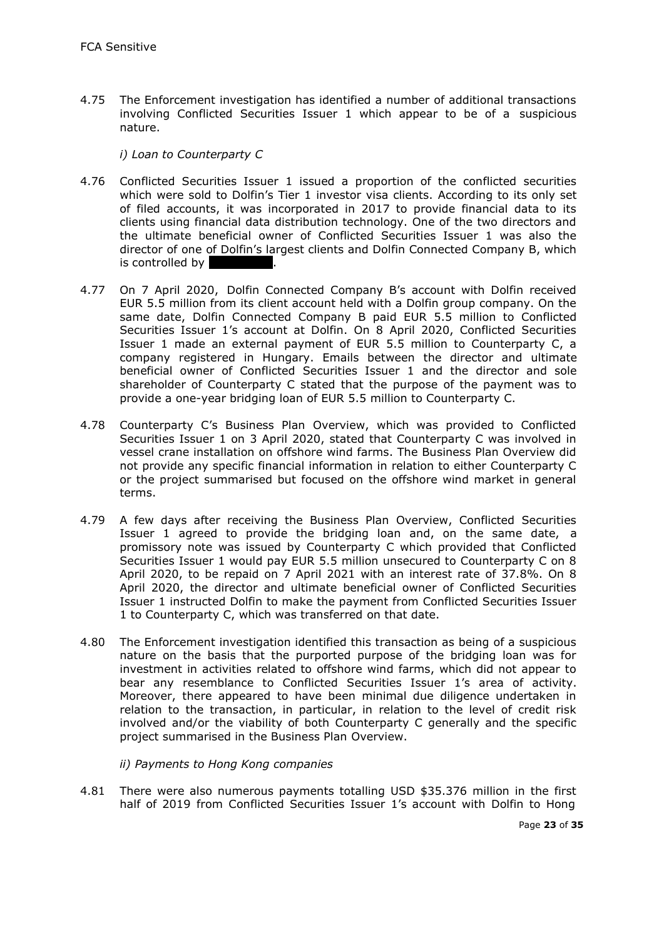4.75 The Enforcement investigation has identified a number of additional transactions involving Conflicted Securities Issuer 1 which appear to be of a suspicious nature.

*i) Loan to Counterparty C*

- 4.76 Conflicted Securities Issuer 1 issued a proportion of the conflicted securities which were sold to Dolfin's Tier 1 investor visa clients. According to its only set of filed accounts, it was incorporated in 2017 to provide financial data to its clients using financial data distribution technology. One of the two directors and the ultimate beneficial owner of Conflicted Securities Issuer 1 was also the director of one of Dolfin's largest clients and Dolfin Connected Company B, which is controlled by
- 4.77 On 7 April 2020, Dolfin Connected Company B's account with Dolfin received EUR 5.5 million from its client account held with a Dolfin group company. On the same date, Dolfin Connected Company B paid EUR 5.5 million to Conflicted Securities Issuer 1's account at Dolfin. On 8 April 2020, Conflicted Securities Issuer 1 made an external payment of EUR 5.5 million to Counterparty C, a company registered in Hungary. Emails between the director and ultimate beneficial owner of Conflicted Securities Issuer 1 and the director and sole shareholder of Counterparty C stated that the purpose of the payment was to provide a one-year bridging loan of EUR 5.5 million to Counterparty C.
- 4.78 Counterparty C's Business Plan Overview, which was provided to Conflicted Securities Issuer 1 on 3 April 2020, stated that Counterparty C was involved in vessel crane installation on offshore wind farms. The Business Plan Overview did not provide any specific financial information in relation to either Counterparty C or the project summarised but focused on the offshore wind market in general terms.
- 4.79 A few days after receiving the Business Plan Overview, Conflicted Securities Issuer 1 agreed to provide the bridging loan and, on the same date, a promissory note was issued by Counterparty C which provided that Conflicted Securities Issuer 1 would pay EUR 5.5 million unsecured to Counterparty C on 8 April 2020, to be repaid on 7 April 2021 with an interest rate of 37.8%. On 8 April 2020, the director and ultimate beneficial owner of Conflicted Securities Issuer 1 instructed Dolfin to make the payment from Conflicted Securities Issuer 1 to Counterparty C, which was transferred on that date.
- 4.80 The Enforcement investigation identified this transaction as being of a suspicious nature on the basis that the purported purpose of the bridging loan was for investment in activities related to offshore wind farms, which did not appear to bear any resemblance to Conflicted Securities Issuer 1's area of activity. Moreover, there appeared to have been minimal due diligence undertaken in relation to the transaction, in particular, in relation to the level of credit risk involved and/or the viability of both Counterparty C generally and the specific project summarised in the Business Plan Overview.

*ii) Payments to Hong Kong companies*

4.81 There were also numerous payments totalling USD \$35.376 million in the first half of 2019 from Conflicted Securities Issuer 1's account with Dolfin to Hong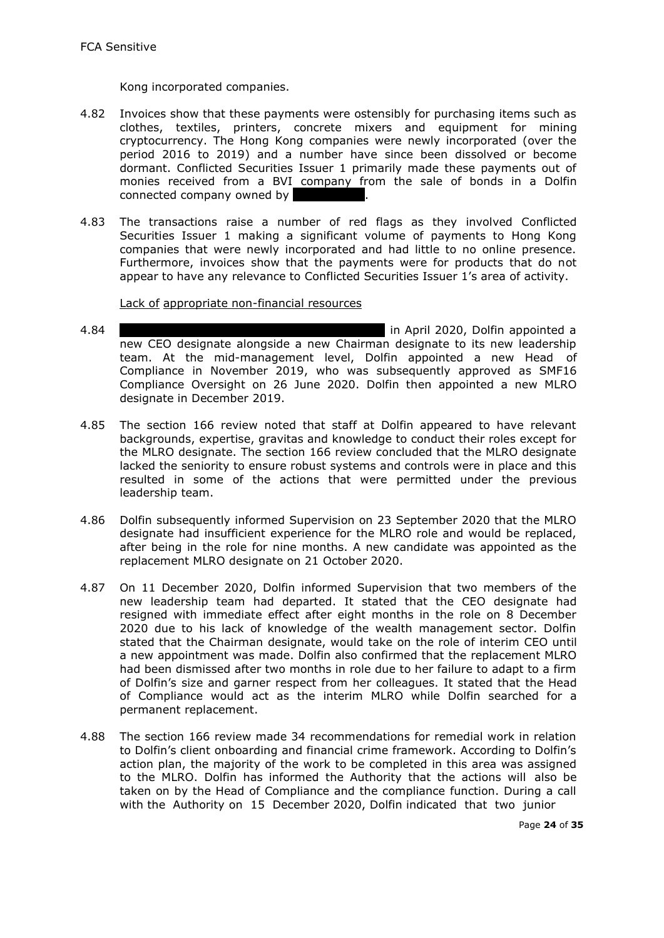Kong incorporated companies.

- 4.82 Invoices show that these payments were ostensibly for purchasing items such as clothes, textiles, printers, concrete mixers and equipment for mining cryptocurrency. The Hong Kong companies were newly incorporated (over the period 2016 to 2019) and a number have since been dissolved or become dormant. Conflicted Securities Issuer 1 primarily made these payments out of monies received from a BVI company from the sale of bonds in a Dolfin connected company owned by
- 4.83 The transactions raise a number of red flags as they involved Conflicted Securities Issuer 1 making a significant volume of payments to Hong Kong companies that were newly incorporated and had little to no online presence. Furthermore, invoices show that the payments were for products that do not appear to have any relevance to Conflicted Securities Issuer 1's area of activity.

Lack of appropriate non-financial resources

- 4.84 in April 2020, Dolfin appointed a new CEO designate alongside a new Chairman designate to its new leadership team. At the mid-management level, Dolfin appointed a new Head of Compliance in November 2019, who was subsequently approved as SMF16 Compliance Oversight on 26 June 2020. Dolfin then appointed a new MLRO designate in December 2019.
- 4.85 The section 166 review noted that staff at Dolfin appeared to have relevant backgrounds, expertise, gravitas and knowledge to conduct their roles except for the MLRO designate. The section 166 review concluded that the MLRO designate lacked the seniority to ensure robust systems and controls were in place and this resulted in some of the actions that were permitted under the previous leadership team.
- 4.86 Dolfin subsequently informed Supervision on 23 September 2020 that the MLRO designate had insufficient experience for the MLRO role and would be replaced, after being in the role for nine months. A new candidate was appointed as the replacement MLRO designate on 21 October 2020.
- 4.87 On 11 December 2020, Dolfin informed Supervision that two members of the new leadership team had departed. It stated that the CEO designate had resigned with immediate effect after eight months in the role on 8 December 2020 due to his lack of knowledge of the wealth management sector. Dolfin stated that the Chairman designate, would take on the role of interim CEO until a new appointment was made. Dolfin also confirmed that the replacement MLRO had been dismissed after two months in role due to her failure to adapt to a firm of Dolfin's size and garner respect from her colleagues. It stated that the Head of Compliance would act as the interim MLRO while Dolfin searched for a permanent replacement.
- 4.88 The section 166 review made 34 recommendations for remedial work in relation to Dolfin's client onboarding and financial crime framework. According to Dolfin's action plan, the majority of the work to be completed in this area was assigned to the MLRO. Dolfin has informed the Authority that the actions will also be taken on by the Head of Compliance and the compliance function. During a call with the Authority on 15 December 2020, Dolfin indicated that two junior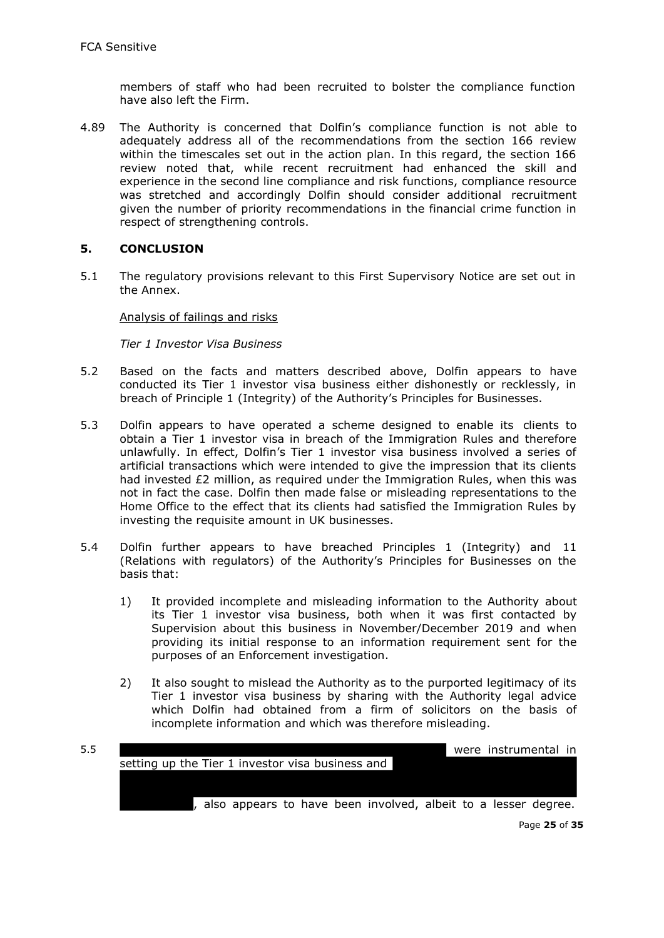members of staff who had been recruited to bolster the compliance function have also left the Firm.

4.89 The Authority is concerned that Dolfin's compliance function is not able to adequately address all of the recommendations from the section 166 review within the timescales set out in the action plan. In this regard, the section 166 review noted that, while recent recruitment had enhanced the skill and experience in the second line compliance and risk functions, compliance resource was stretched and accordingly Dolfin should consider additional recruitment given the number of priority recommendations in the financial crime function in respect of strengthening controls.

### **5. CONCLUSION**

5.1 The regulatory provisions relevant to this First Supervisory Notice are set out in the Annex.

#### Analysis of failings and risks

*Tier 1 Investor Visa Business*

- 5.2 Based on the facts and matters described above, Dolfin appears to have conducted its Tier 1 investor visa business either dishonestly or recklessly, in breach of Principle 1 (Integrity) of the Authority's Principles for Businesses.
- 5.3 Dolfin appears to have operated a scheme designed to enable its clients to obtain a Tier 1 investor visa in breach of the Immigration Rules and therefore unlawfully. In effect, Dolfin's Tier 1 investor visa business involved a series of artificial transactions which were intended to give the impression that its clients had invested £2 million, as required under the Immigration Rules, when this was not in fact the case. Dolfin then made false or misleading representations to the Home Office to the effect that its clients had satisfied the Immigration Rules by investing the requisite amount in UK businesses.
- 5.4 Dolfin further appears to have breached Principles 1 (Integrity) and 11 (Relations with regulators) of the Authority's Principles for Businesses on the basis that:
	- 1) It provided incomplete and misleading information to the Authority about its Tier 1 investor visa business, both when it was first contacted by Supervision about this business in November/December 2019 and when providing its initial response to an information requirement sent for the purposes of an Enforcement investigation.
	- 2) It also sought to mislead the Authority as to the purported legitimacy of its Tier 1 investor visa business by sharing with the Authority legal advice which Dolfin had obtained from a firm of solicitors on the basis of incomplete information and which was therefore misleading.



Page **25** of **35**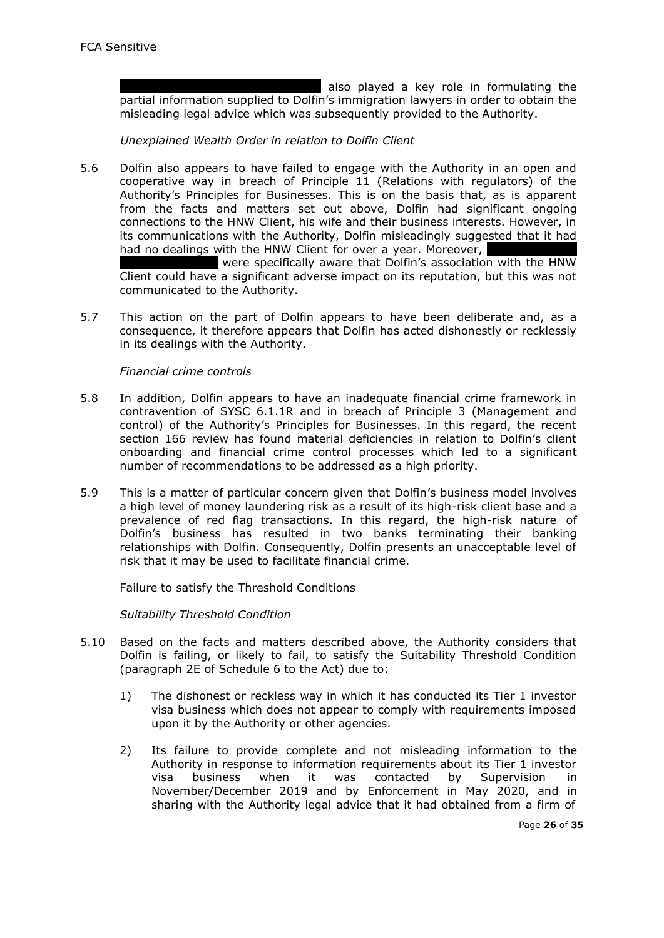also played a key role in formulating the partial information supplied to Dolfin's immigration lawyers in order to obtain the misleading legal advice which was subsequently provided to the Authority.

*Unexplained Wealth Order in relation to Dolfin Client*

5.6 Dolfin also appears to have failed to engage with the Authority in an open and cooperative way in breach of Principle 11 (Relations with regulators) of the Authority's Principles for Businesses. This is on the basis that, as is apparent from the facts and matters set out above, Dolfin had significant ongoing connections to the HNW Client, his wife and their business interests. However, in its communications with the Authority, Dolfin misleadingly suggested that it had had no dealings with the HNW Client for over a year. Moreover,

were specifically aware that Dolfin's association with the HNW Client could have a significant adverse impact on its reputation, but this was not communicated to the Authority.

5.7 This action on the part of Dolfin appears to have been deliberate and, as a consequence, it therefore appears that Dolfin has acted dishonestly or recklessly in its dealings with the Authority.

#### *Financial crime controls*

- 5.8 In addition, Dolfin appears to have an inadequate financial crime framework in contravention of SYSC 6.1.1R and in breach of Principle 3 (Management and control) of the Authority's Principles for Businesses. In this regard, the recent section 166 review has found material deficiencies in relation to Dolfin's client onboarding and financial crime control processes which led to a significant number of recommendations to be addressed as a high priority.
- 5.9 This is a matter of particular concern given that Dolfin's business model involves a high level of money laundering risk as a result of its high-risk client base and a prevalence of red flag transactions. In this regard, the high-risk nature of Dolfin's business has resulted in two banks terminating their banking relationships with Dolfin. Consequently, Dolfin presents an unacceptable level of risk that it may be used to facilitate financial crime.

#### Failure to satisfy the Threshold Conditions

*Suitability Threshold Condition*

- 5.10 Based on the facts and matters described above, the Authority considers that Dolfin is failing, or likely to fail, to satisfy the Suitability Threshold Condition (paragraph 2E of Schedule 6 to the Act) due to:
	- 1) The dishonest or reckless way in which it has conducted its Tier 1 investor visa business which does not appear to comply with requirements imposed upon it by the Authority or other agencies.
	- 2) Its failure to provide complete and not misleading information to the Authority in response to information requirements about its Tier 1 investor visa business when it was contacted by Supervision in November/December 2019 and by Enforcement in May 2020, and in sharing with the Authority legal advice that it had obtained from a firm of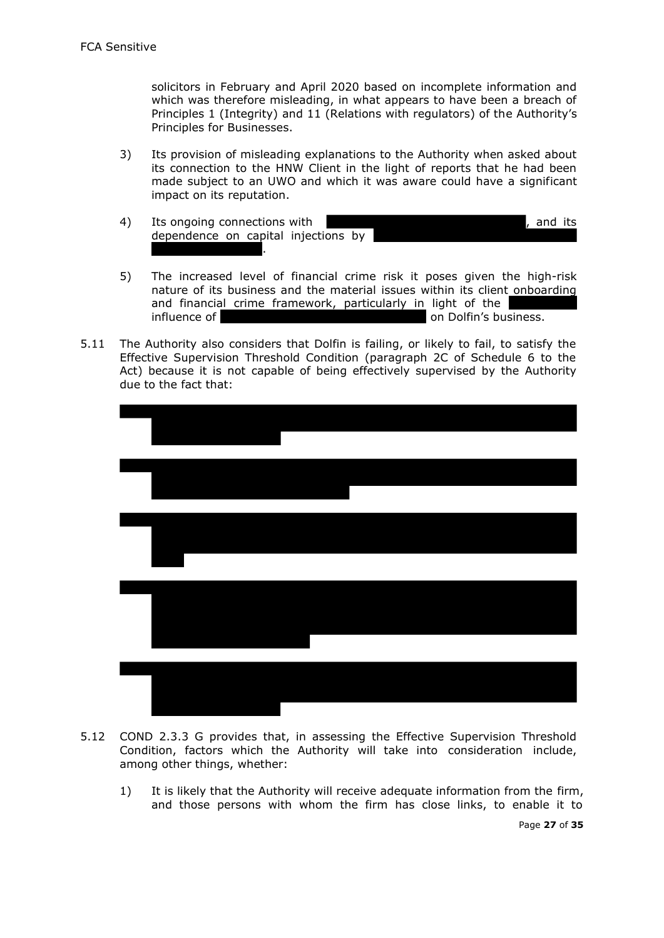solicitors in February and April 2020 based on incomplete information and which was therefore misleading, in what appears to have been a breach of Principles 1 (Integrity) and 11 (Relations with regulators) of the Authority's Principles for Businesses.

- 3) Its provision of misleading explanations to the Authority when asked about its connection to the HNW Client in the light of reports that he had been made subject to an UWO and which it was aware could have a significant impact on its reputation.
- 4) Its ongoing connections with dependence on capital injections by . , and its
- 5) The increased level of financial crime risk it poses given the high-risk nature of its business and the material issues within its client onboarding and financial crime framework, particularly in light of the influence of on Dolfin's business.
- 5.11 The Authority also considers that Dolfin is failing, or likely to fail, to satisfy the Effective Supervision Threshold Condition (paragraph 2C of Schedule 6 to the Act) because it is not capable of being effectively supervised by the Authority due to the fact that:



- 5.12 COND 2.3.3 G provides that, in assessing the Effective Supervision Threshold Condition, factors which the Authority will take into consideration include, among other things, whether:
	- 1) It is likely that the Authority will receive adequate information from the [firm,](https://www.handbook.fca.org.uk/handbook/glossary/G430.html) and those [persons](https://www.handbook.fca.org.uk/handbook/glossary/G869.html) with whom the [firm](https://www.handbook.fca.org.uk/handbook/glossary/G430.html) has [close](https://www.handbook.fca.org.uk/handbook/glossary/G164.html) links, to enable it to

Page **27** of **35**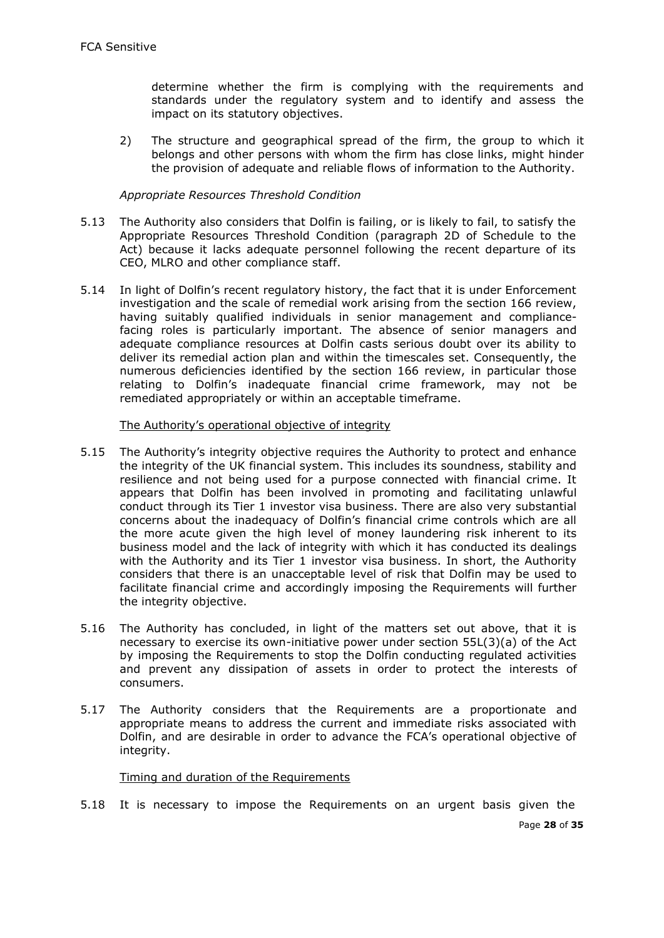determine whether the [firm](https://www.handbook.fca.org.uk/handbook/glossary/G430.html) is complying with the requirements and standards under the [regulatory](https://www.handbook.fca.org.uk/handbook/glossary/G986.html) system and to identify and assess the impact on its statutory [objectives.](https://www.handbook.fca.org.uk/handbook/glossary/G2976.html)

2) The structure and geographical spread of the [firm,](https://www.handbook.fca.org.uk/handbook/glossary/G430.html) the [group](https://www.handbook.fca.org.uk/handbook/glossary/G486.html) to which it belongs and other [persons w](https://www.handbook.fca.org.uk/handbook/glossary/G869.html)ith whom the [firm h](https://www.handbook.fca.org.uk/handbook/glossary/G430.html)as [close links,](https://www.handbook.fca.org.uk/handbook/glossary/G164.html) might hinder the provision of adequate and reliable flows of information to the Authority.

### *Appropriate Resources Threshold Condition*

- 5.13 The Authority also considers that Dolfin is failing, or is likely to fail, to satisfy the Appropriate Resources Threshold Condition (paragraph 2D of Schedule to the Act) because it lacks adequate personnel following the recent departure of its CEO, MLRO and other compliance staff.
- 5.14 In light of Dolfin's recent regulatory history, the fact that it is under Enforcement investigation and the scale of remedial work arising from the section 166 review, having suitably qualified individuals in senior management and compliancefacing roles is particularly important. The absence of senior managers and adequate compliance resources at Dolfin casts serious doubt over its ability to deliver its remedial action plan and within the timescales set. Consequently, the numerous deficiencies identified by the section 166 review, in particular those relating to Dolfin's inadequate financial crime framework, may not be remediated appropriately or within an acceptable timeframe.

### The Authority's operational objective of integrity

- 5.15 The Authority's integrity objective requires the Authority to protect and enhance the integrity of the UK financial system. This includes its soundness, stability and resilience and not being used for a purpose connected with financial crime. It appears that Dolfin has been involved in promoting and facilitating unlawful conduct through its Tier 1 investor visa business. There are also very substantial concerns about the inadequacy of Dolfin's financial crime controls which are all the more acute given the high level of money laundering risk inherent to its business model and the lack of integrity with which it has conducted its dealings with the Authority and its Tier 1 investor visa business. In short, the Authority considers that there is an unacceptable level of risk that Dolfin may be used to facilitate financial crime and accordingly imposing the Requirements will further the integrity objective.
- 5.16 The Authority has concluded, in light of the matters set out above, that it is necessary to exercise its own-initiative power under section 55L(3)(a) of the Act by imposing the Requirements to stop the Dolfin conducting regulated activities and prevent any dissipation of assets in order to protect the interests of consumers.
- 5.17 The Authority considers that the Requirements are a proportionate and appropriate means to address the current and immediate risks associated with Dolfin, and are desirable in order to advance the FCA's operational objective of integrity.

#### Timing and duration of the Requirements

5.18 It is necessary to impose the Requirements on an urgent basis given the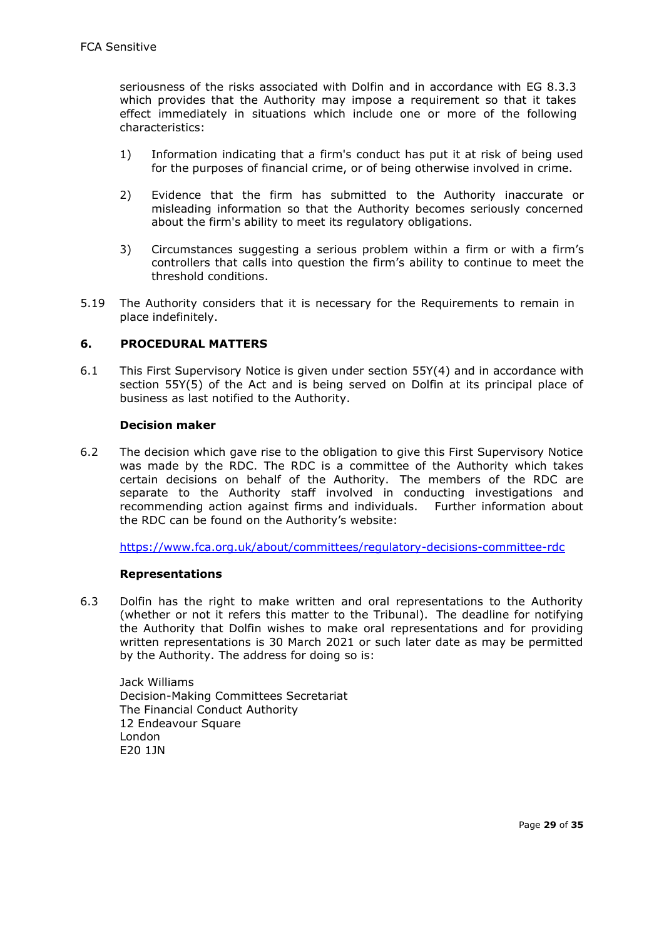seriousness of the risks associated with Dolfin and in accordance with EG 8.3.3 which provides that the Authority may impose a requirement so that it takes effect immediately in situations which include one or more of the following characteristics:

- 1) Information indicating that a [firm's c](https://www.handbook.fca.org.uk/handbook/glossary/G430.html)onduct has put it at risk of being used for the purposes of [financial](https://www.handbook.fca.org.uk/handbook/glossary/G416.html) crime, or of being otherwise involved in crime.
- 2) Evidence that the [firm](https://www.handbook.fca.org.uk/handbook/glossary/G430.html) has submitted to the Authority inaccurate or misleading information so that the Authority becomes seriously concerned about the [firm's](https://www.handbook.fca.org.uk/handbook/glossary/G430.html) ability to meet its regulatory obligations.
- 3) Circumstances suggesting a serious problem within a [firm o](https://www.handbook.fca.org.uk/handbook/glossary/G430.html)r with a [firm's](https://www.handbook.fca.org.uk/handbook/glossary/G430.html) [controllers t](https://www.handbook.fca.org.uk/handbook/glossary/G226.html)hat calls into question the [firm's](https://www.handbook.fca.org.uk/handbook/glossary/G430.html) ability to continue to meet the threshold [conditions.](https://www.handbook.fca.org.uk/handbook/glossary/G1173.html)
- 5.19 The Authority considers that it is necessary for the Requirements to remain in place indefinitely.

### **6. PROCEDURAL MATTERS**

6.1 This First Supervisory Notice is given under section 55Y(4) and in accordance with section 55Y(5) of the Act and is being served on Dolfin at its principal place of business as last notified to the Authority.

#### **Decision maker**

6.2 The decision which gave rise to the obligation to give this First Supervisory Notice was made by the RDC. The RDC is a committee of the Authority which takes certain decisions on behalf of the Authority. The members of the RDC are separate to the Authority staff involved in conducting investigations and recommending action against firms and individuals. Further information about the RDC can be found on the Authority's website:

<https://www.fca.org.uk/about/committees/regulatory-decisions-committee-rdc>

#### **Representations**

6.3 Dolfin has the right to make written and oral representations to the Authority (whether or not it refers this matter to the Tribunal). The deadline for notifying the Authority that Dolfin wishes to make oral representations and for providing written representations is 30 March 2021 or such later date as may be permitted by the Authority. The address for doing so is:

Jack Williams Decision-Making Committees Secretariat The Financial Conduct Authority 12 Endeavour Square London E20 1JN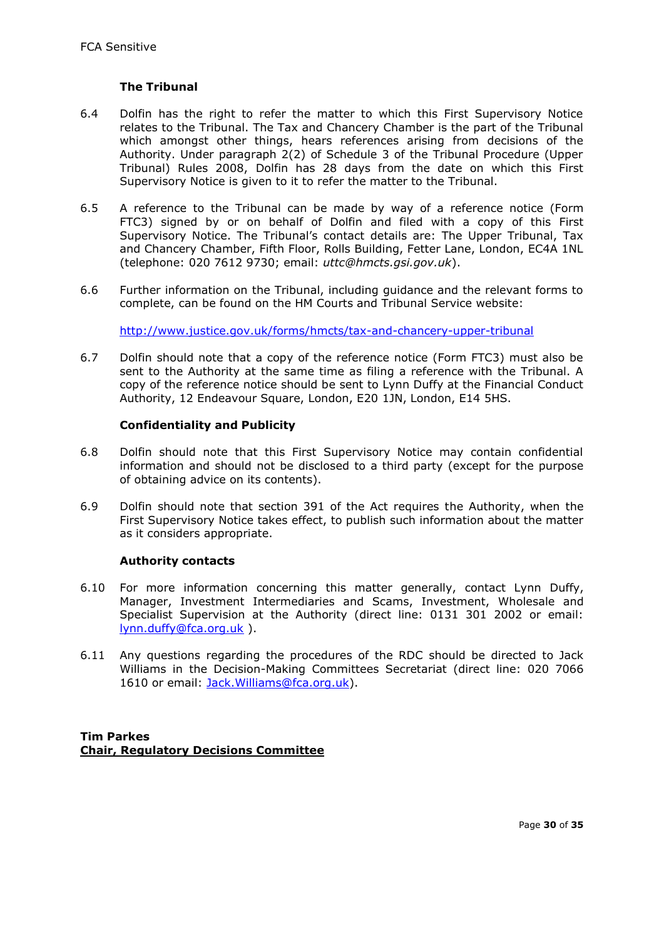## **The Tribunal**

- 6.4 Dolfin has the right to refer the matter to which this First Supervisory Notice relates to the Tribunal. The Tax and Chancery Chamber is the part of the Tribunal which amongst other things, hears references arising from decisions of the Authority. Under paragraph 2(2) of Schedule 3 of the Tribunal Procedure (Upper Tribunal) Rules 2008, Dolfin has 28 days from the date on which this First Supervisory Notice is given to it to refer the matter to the Tribunal.
- 6.5 A reference to the Tribunal can be made by way of a reference notice (Form FTC3) signed by or on behalf of Dolfin and filed with a copy of this First Supervisory Notice. The Tribunal's contact details are: The Upper Tribunal, Tax and Chancery Chamber, Fifth Floor, Rolls Building, Fetter Lane, London, EC4A 1NL (telephone: 020 7612 9730; email: *uttc@hmcts.gsi.gov.uk*).
- 6.6 Further information on the Tribunal, including guidance and the relevant forms to complete, can be found on the HM Courts and Tribunal Service website:

<http://www.justice.gov.uk/forms/hmcts/tax-and-chancery-upper-tribunal>

6.7 Dolfin should note that a copy of the reference notice (Form FTC3) must also be sent to the Authority at the same time as filing a reference with the Tribunal. A copy of the reference notice should be sent to Lynn Duffy at the Financial Conduct Authority, 12 Endeavour Square, London, E20 1JN, London, E14 5HS.

## **Confidentiality and Publicity**

- 6.8 Dolfin should note that this First Supervisory Notice may contain confidential information and should not be disclosed to a third party (except for the purpose of obtaining advice on its contents).
- 6.9 Dolfin should note that section 391 of the Act requires the Authority, when the First Supervisory Notice takes effect, to publish such information about the matter as it considers appropriate.

## **Authority contacts**

- 6.10 For more information concerning this matter generally, contact Lynn Duffy, Manager, Investment Intermediaries and Scams, Investment, Wholesale and Specialist Supervision at the Authority (direct line: 0131 301 2002 or email: [lynn.duffy@fca.org.uk](mailto:lynn.duffy@fca.org.uk) ).
- 6.11 Any questions regarding the procedures of the RDC should be directed to Jack Williams in the Decision-Making Committees Secretariat (direct line: 020 7066 1610 or email: Jack. Williams@fca.org.uk).

### **Tim Parkes Chair, Regulatory Decisions Committee**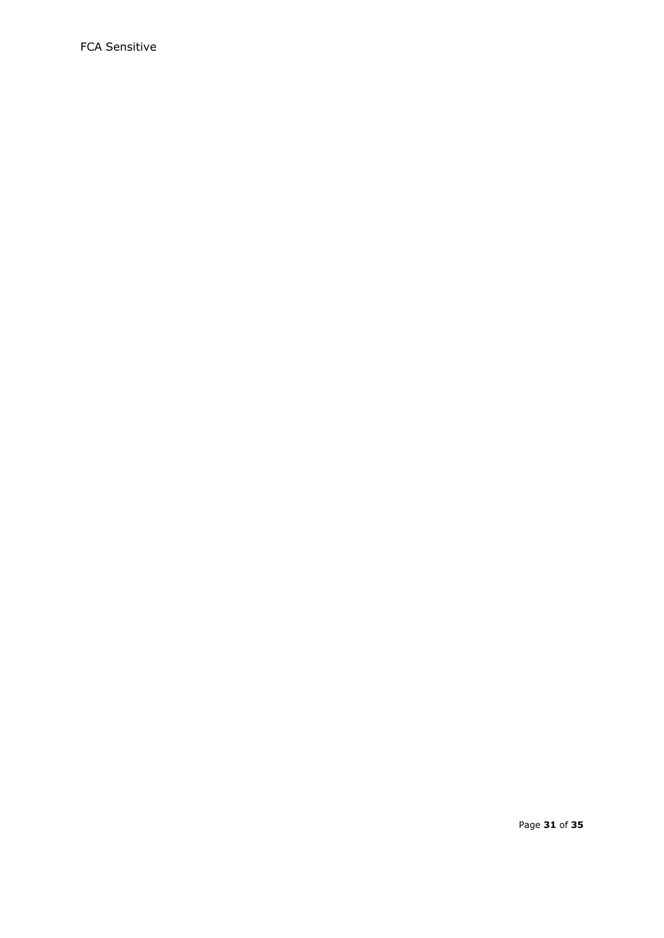FCA Sensitive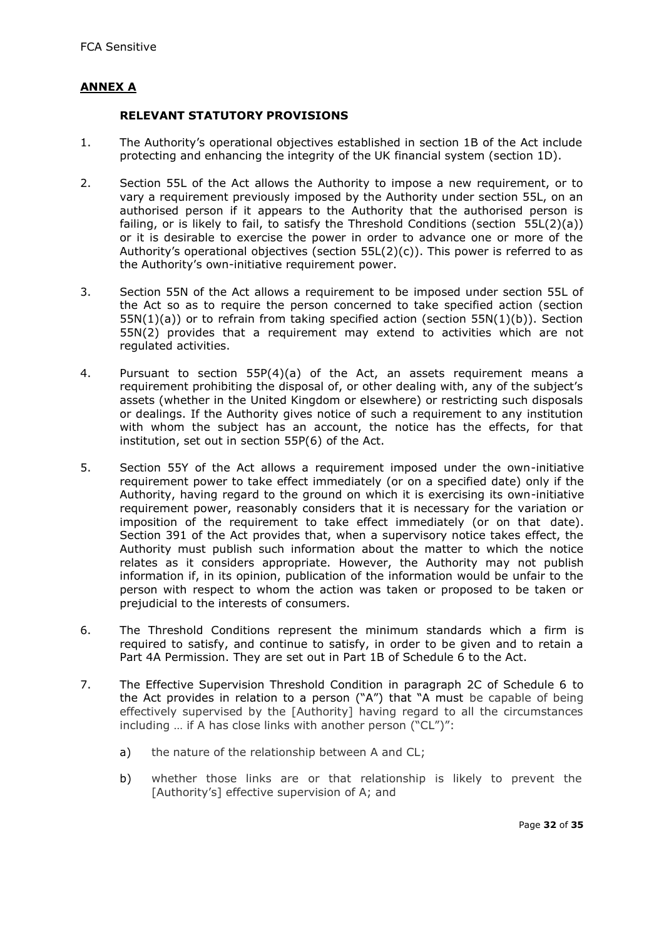# **ANNEX A**

## **RELEVANT STATUTORY PROVISIONS**

- 1. The Authority's operational objectives established in section 1B of the Act include protecting and enhancing the integrity of the UK financial system (section 1D).
- 2. Section 55L of the Act allows the Authority to impose a new requirement, or to vary a requirement previously imposed by the Authority under section 55L, on an authorised person if it appears to the Authority that the authorised person is failing, or is likely to fail, to satisfy the Threshold Conditions (section 55L(2)(a)) or it is desirable to exercise the power in order to advance one or more of the Authority's operational objectives (section  $55L(2)(c)$ ). This power is referred to as the Authority's own-initiative requirement power.
- 3. Section 55N of the Act allows a requirement to be imposed under section 55L of the Act so as to require the person concerned to take specified action (section  $55N(1)(a)$  or to refrain from taking specified action (section  $55N(1)(b)$ ). Section 55N(2) provides that a requirement may extend to activities which are not regulated activities.
- 4. Pursuant to section 55P(4)(a) of the Act, an assets requirement means a requirement prohibiting the disposal of, or other dealing with, any of the subject's assets (whether in the United Kingdom or elsewhere) or restricting such disposals or dealings. If the Authority gives notice of such a requirement to any institution with whom the subject has an account, the notice has the effects, for that institution, set out in section 55P(6) of the Act.
- 5. Section 55Y of the Act allows a requirement imposed under the own-initiative requirement power to take effect immediately (or on a specified date) only if the Authority, having regard to the ground on which it is exercising its own-initiative requirement power, reasonably considers that it is necessary for the variation or imposition of the requirement to take effect immediately (or on that date). Section 391 of the Act provides that, when a supervisory notice takes effect, the Authority must publish such information about the matter to which the notice relates as it considers appropriate. However, the Authority may not publish information if, in its opinion, publication of the information would be unfair to the person with respect to whom the action was taken or proposed to be taken or prejudicial to the interests of consumers.
- 6. The Threshold Conditions represent the minimum standards which a firm is required to satisfy, and continue to satisfy, in order to be given and to retain a Part 4A Permission. They are set out in Part 1B of Schedule 6 to the Act.
- 7. The Effective Supervision Threshold Condition in paragraph 2C of Schedule 6 to the Act provides in relation to a person ("A") that "A must be capable of being effectively supervised by the [Authority] having regard to all the circumstances including … if A has close links with another person ("CL")":
	- a) the nature of the relationship between A and CL;
	- b) whether those links are or that relationship is likely to prevent the [Authority's] effective supervision of A; and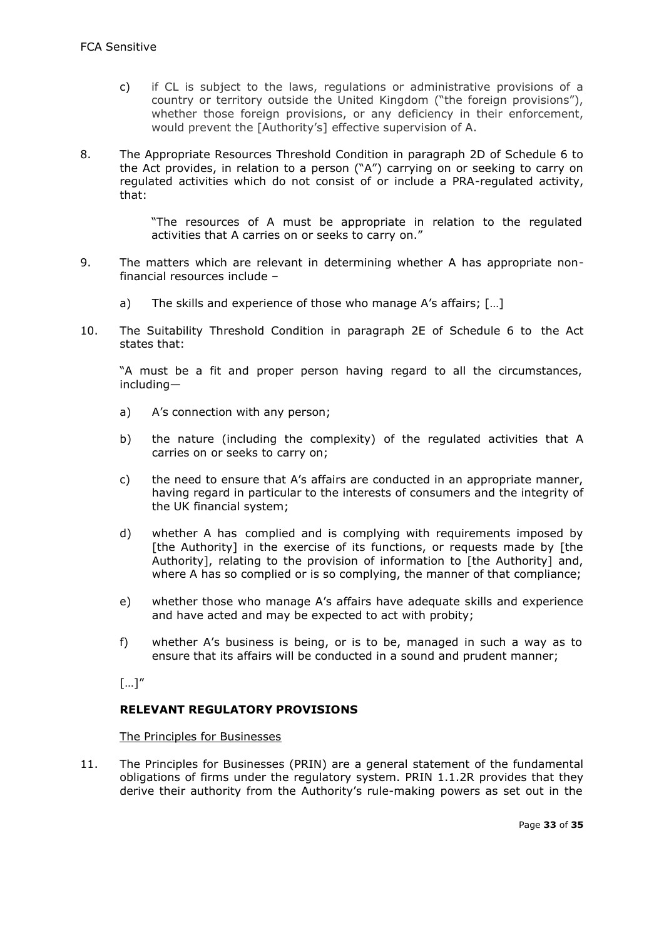- c) if CL is subject to the laws, regulations or administrative provisions of a country or territory outside the United Kingdom ("the foreign provisions"), whether those foreign provisions, or any deficiency in their enforcement, would prevent the [Authority's] effective supervision of A.
- 8. The Appropriate Resources Threshold Condition in paragraph 2D of Schedule 6 to the Act provides, in relation to a person ("A") carrying on or seeking to carry on regulated activities which do not consist of or include a PRA-regulated activity, that:

"The resources of A must be appropriate in relation to the regulated activities that A carries on or seeks to carry on."

- 9. The matters which are relevant in determining whether A has appropriate nonfinancial resources include –
	- a) The skills and experience of those who manage A's affairs; […]
- 10. The Suitability Threshold Condition in paragraph 2E of Schedule 6 to the Act states that:

"A must be a fit and proper person having regard to all the circumstances, including—

- a) A's connection with any person;
- b) the nature (including the complexity) of the regulated activities that A carries on or seeks to carry on;
- c) the need to ensure that A's affairs are conducted in an appropriate manner, having regard in particular to the interests of consumers and the integrity of the UK financial system;
- d) whether A has complied and is complying with requirements imposed by [the Authority] in the exercise of its functions, or requests made by [the Authority], relating to the provision of information to [the Authority] and, where A has so complied or is so complying, the manner of that compliance;
- e) whether those who manage A's affairs have adequate skills and experience and have acted and may be expected to act with probity;
- f) whether A's business is being, or is to be, managed in such a way as to ensure that its affairs will be conducted in a sound and prudent manner;

[…]"

#### **RELEVANT REGULATORY PROVISIONS**

The Principles for Businesses

11. The Principles for Businesses (PRIN) are a general statement of the fundamental obligations of firms under the regulatory system. PRIN 1.1.2R provides that they derive their authority from the Authority's rule-making powers as set out in the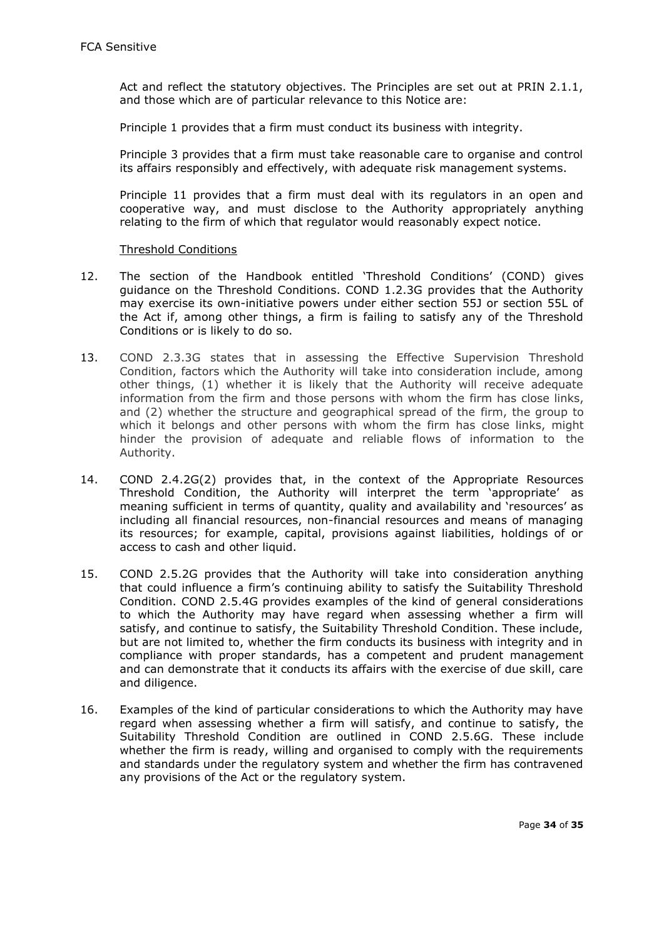Act and reflect the statutory objectives. The Principles are set out at PRIN 2.1.1, and those which are of particular relevance to this Notice are:

Principle 1 provides that a firm must conduct its business with integrity.

Principle 3 provides that a firm must take reasonable care to organise and control its affairs responsibly and effectively, with adequate risk management systems.

Principle 11 provides that a firm must deal with its regulators in an open and cooperative way, and must disclose to the Authority appropriately anything relating to the firm of which that regulator would reasonably expect notice.

#### Threshold Conditions

- 12. The section of the Handbook entitled 'Threshold Conditions' (COND) gives guidance on the Threshold Conditions. COND 1.2.3G provides that the Authority may exercise its own-initiative powers under either section 55J or section 55L of the Act if, among other things, a firm is failing to satisfy any of the Threshold Conditions or is likely to do so.
- 13. COND 2.3.3G states that in assessing the Effective Supervision Threshold Condition, factors which the Authority will take into consideration include, among other things, (1) whether it is likely that the Authority will receive adequate information from the firm and those persons with whom the [firm h](https://www.handbook.fca.org.uk/handbook/glossary/G430.html)as [close links,](https://www.handbook.fca.org.uk/handbook/glossary/G164.html) and (2) whether the structure and geographical spread of the [firm,](https://www.handbook.fca.org.uk/handbook/glossary/G430.html) the [group t](https://www.handbook.fca.org.uk/handbook/glossary/G486.html)o which it belongs and other [persons](https://www.handbook.fca.org.uk/handbook/glossary/G869.html) with whom the [firm](https://www.handbook.fca.org.uk/handbook/glossary/G430.html) has [close links,](https://www.handbook.fca.org.uk/handbook/glossary/G164.html) might hinder the provision of adequate and reliable flows of information to the Authority.
- 14. COND 2.4.2G(2) provides that, in the context of the Appropriate Resources Threshold Condition, the Authority will interpret the term 'appropriate' as meaning sufficient in terms of quantity, quality and availability and 'resources' as including all financial resources, non-financial resources and means of managing its resources; for example, capital, provisions against liabilities, holdings of or access to cash and other liquid.
- 15. COND 2.5.2G provides that the Authority will take into consideration anything that could influence a firm's continuing ability to satisfy the Suitability Threshold Condition. COND 2.5.4G provides examples of the kind of general considerations to which the Authority may have regard when assessing whether a firm will satisfy, and continue to satisfy, the Suitability Threshold Condition. These include, but are not limited to, whether the firm conducts its business with integrity and in compliance with proper standards, has a competent and prudent management and can demonstrate that it conducts its affairs with the exercise of due skill, care and diligence.
- 16. Examples of the kind of particular considerations to which the Authority may have regard when assessing whether a firm will satisfy, and continue to satisfy, the Suitability Threshold Condition are outlined in COND 2.5.6G. These include whether the firm is ready, willing and organised to comply with the requirements and standards under the regulatory system and whether the firm has contravened any provisions of the Act or the regulatory system.